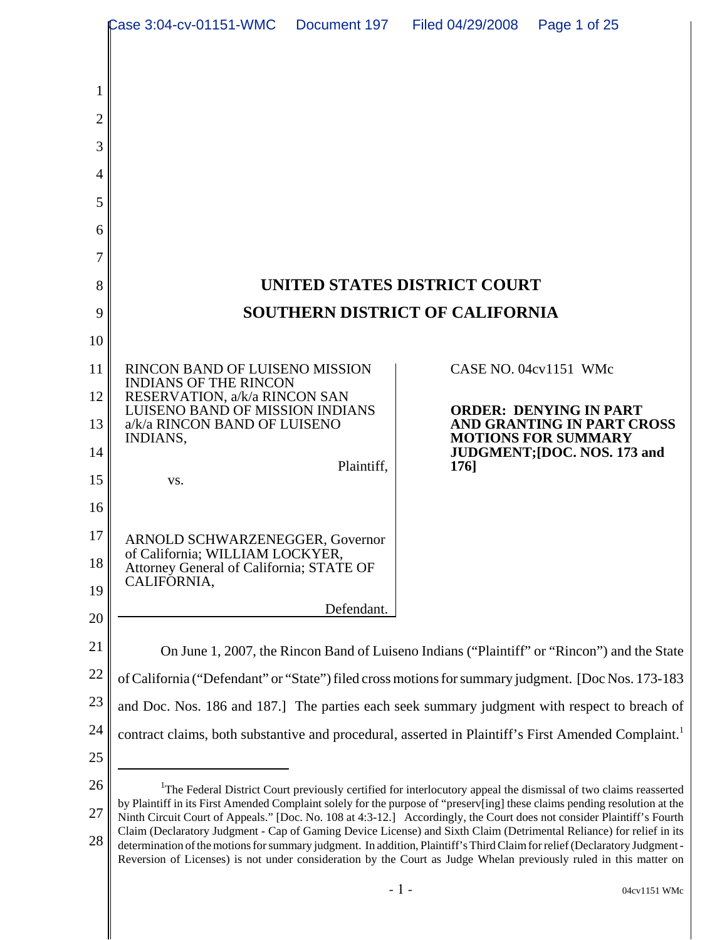|          | Case 3:04-cv-01151-WMC                                                                                                                                                                                                                                                                                                                                                                                                                                                                           | Document 197 | Filed 04/29/2008             | Page 1 of 25                                                                                                                 |  |
|----------|--------------------------------------------------------------------------------------------------------------------------------------------------------------------------------------------------------------------------------------------------------------------------------------------------------------------------------------------------------------------------------------------------------------------------------------------------------------------------------------------------|--------------|------------------------------|------------------------------------------------------------------------------------------------------------------------------|--|
|          |                                                                                                                                                                                                                                                                                                                                                                                                                                                                                                  |              |                              |                                                                                                                              |  |
|          |                                                                                                                                                                                                                                                                                                                                                                                                                                                                                                  |              |                              |                                                                                                                              |  |
| 2        |                                                                                                                                                                                                                                                                                                                                                                                                                                                                                                  |              |                              |                                                                                                                              |  |
| 3        |                                                                                                                                                                                                                                                                                                                                                                                                                                                                                                  |              |                              |                                                                                                                              |  |
| 4        |                                                                                                                                                                                                                                                                                                                                                                                                                                                                                                  |              |                              |                                                                                                                              |  |
| 5        |                                                                                                                                                                                                                                                                                                                                                                                                                                                                                                  |              |                              |                                                                                                                              |  |
| 6        |                                                                                                                                                                                                                                                                                                                                                                                                                                                                                                  |              |                              |                                                                                                                              |  |
| 7        |                                                                                                                                                                                                                                                                                                                                                                                                                                                                                                  |              |                              |                                                                                                                              |  |
| 8        |                                                                                                                                                                                                                                                                                                                                                                                                                                                                                                  |              | UNITED STATES DISTRICT COURT |                                                                                                                              |  |
| 9        | <b>SOUTHERN DISTRICT OF CALIFORNIA</b>                                                                                                                                                                                                                                                                                                                                                                                                                                                           |              |                              |                                                                                                                              |  |
| 10       |                                                                                                                                                                                                                                                                                                                                                                                                                                                                                                  |              |                              |                                                                                                                              |  |
| 11       | RINCON BAND OF LUISENO MISSION<br><b>INDIANS OF THE RINCON</b>                                                                                                                                                                                                                                                                                                                                                                                                                                   |              |                              | CASE NO. 04cv1151 WMc                                                                                                        |  |
| 12       | RESERVATION, a/k/a RINCON SAN<br>LUISENO BAND OF MISSION INDIANS                                                                                                                                                                                                                                                                                                                                                                                                                                 |              |                              | <b>ORDER: DENYING IN PART</b>                                                                                                |  |
| 13       | a/k/a RINCON BAND OF LUISENO<br>INDIANS,                                                                                                                                                                                                                                                                                                                                                                                                                                                         |              |                              | AND GRANTING IN PART CROSS<br><b>MOTIONS FOR SUMMARY</b>                                                                     |  |
| 14       |                                                                                                                                                                                                                                                                                                                                                                                                                                                                                                  | Plaintiff,   | 1761                         | JUDGMENT; [DOC. NOS. 173 and                                                                                                 |  |
| 15       | VS.                                                                                                                                                                                                                                                                                                                                                                                                                                                                                              |              |                              |                                                                                                                              |  |
| 16       |                                                                                                                                                                                                                                                                                                                                                                                                                                                                                                  |              |                              |                                                                                                                              |  |
| 17       | <b>ARNOLD SCHWARZENEGGER, Governor</b><br>of California; WILLIAM LOCKYER,                                                                                                                                                                                                                                                                                                                                                                                                                        |              |                              |                                                                                                                              |  |
| 18       | Attorney General of California; STATE OF<br>CALIFORNIA,                                                                                                                                                                                                                                                                                                                                                                                                                                          |              |                              |                                                                                                                              |  |
| 19       |                                                                                                                                                                                                                                                                                                                                                                                                                                                                                                  | Defendant.   |                              |                                                                                                                              |  |
| 20       |                                                                                                                                                                                                                                                                                                                                                                                                                                                                                                  |              |                              |                                                                                                                              |  |
| 21       |                                                                                                                                                                                                                                                                                                                                                                                                                                                                                                  |              |                              | On June 1, 2007, the Rincon Band of Luiseno Indians ("Plaintiff" or "Rincon") and the State                                  |  |
| 22       | of California ("Defendant" or "State") filed cross motions for summary judgment. [Doc Nos. 173-183                                                                                                                                                                                                                                                                                                                                                                                               |              |                              |                                                                                                                              |  |
| 23       | and Doc. Nos. 186 and 187.] The parties each seek summary judgment with respect to breach of                                                                                                                                                                                                                                                                                                                                                                                                     |              |                              |                                                                                                                              |  |
| 24       | contract claims, both substantive and procedural, asserted in Plaintiff's First Amended Complaint. <sup>1</sup>                                                                                                                                                                                                                                                                                                                                                                                  |              |                              |                                                                                                                              |  |
| 25       |                                                                                                                                                                                                                                                                                                                                                                                                                                                                                                  |              |                              |                                                                                                                              |  |
| 26       | by Plaintiff in its First Amended Complaint solely for the purpose of "preserv[ing] these claims pending resolution at the                                                                                                                                                                                                                                                                                                                                                                       |              |                              | <sup>1</sup> The Federal District Court previously certified for interlocutory appeal the dismissal of two claims reasserted |  |
| 27<br>28 | Ninth Circuit Court of Appeals." [Doc. No. 108 at 4:3-12.] Accordingly, the Court does not consider Plaintiff's Fourth<br>Claim (Declaratory Judgment - Cap of Gaming Device License) and Sixth Claim (Detrimental Reliance) for relief in its<br>determination of the motions for summary judgment. In addition, Plaintiff's Third Claim for relief (Declaratory Judgment-<br>Reversion of Licenses) is not under consideration by the Court as Judge Whelan previously ruled in this matter on |              |                              |                                                                                                                              |  |
|          |                                                                                                                                                                                                                                                                                                                                                                                                                                                                                                  |              | $-1-$                        | 04cv1151 WMc                                                                                                                 |  |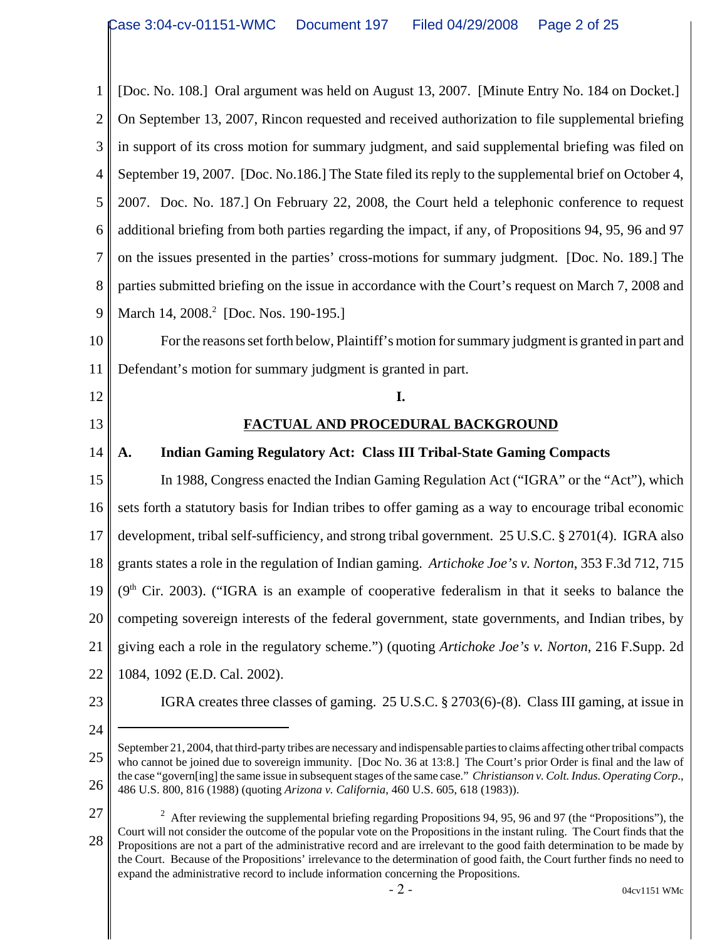1 2 3 4 5 6 7 8 9 10 11 12 13 14 15 16 17 18 19 20 21 22 23 24 25 26 September 21, 2004, that third-party tribes are necessary and indispensable parties to claims affecting other tribal compacts who cannot be joined due to sovereign immunity. [Doc No. 36 at 13:8.] The Court's prior Order is final and the law of the case "govern[ing] the same issue in subsequent stages of the same case." *Christianson v. Colt. Indus. Operating Corp*., 486 U.S. 800, 816 (1988) (quoting *Arizona v. California*, 460 U.S. 605, 618 (1983)). [Doc. No. 108.] Oral argument was held on August 13, 2007. [Minute Entry No. 184 on Docket.] On September 13, 2007, Rincon requested and received authorization to file supplemental briefing in support of its cross motion for summary judgment, and said supplemental briefing was filed on September 19, 2007. [Doc. No.186.] The State filed its reply to the supplemental brief on October 4, 2007. Doc. No. 187.] On February 22, 2008, the Court held a telephonic conference to request additional briefing from both parties regarding the impact, if any, of Propositions 94, 95, 96 and 97 on the issues presented in the parties' cross-motions for summary judgment. [Doc. No. 189.] The parties submitted briefing on the issue in accordance with the Court's request on March 7, 2008 and March 14, 2008.<sup>2</sup> [Doc. Nos. 190-195.] For the reasons set forth below, Plaintiff's motion for summary judgment is granted in part and Defendant's motion for summary judgment is granted in part. **I. FACTUAL AND PROCEDURAL BACKGROUND A. Indian Gaming Regulatory Act: Class III Tribal-State Gaming Compacts** In 1988, Congress enacted the Indian Gaming Regulation Act ("IGRA" or the "Act"), which sets forth a statutory basis for Indian tribes to offer gaming as a way to encourage tribal economic development, tribal self-sufficiency, and strong tribal government. 25 U.S.C. § 2701(4). IGRA also grants states a role in the regulation of Indian gaming. *Artichoke Joe's v. Norton*, 353 F.3d 712, 715  $(9<sup>th</sup>$  Cir. 2003). ("IGRA is an example of cooperative federalism in that it seeks to balance the competing sovereign interests of the federal government, state governments, and Indian tribes, by giving each a role in the regulatory scheme.") (quoting *Artichoke Joe's v. Norton*, 216 F.Supp. 2d 1084, 1092 (E.D. Cal. 2002). IGRA creates three classes of gaming. 25 U.S.C. § 2703(6)-(8). Class III gaming, at issue in

27 28 <sup>2</sup> After reviewing the supplemental briefing regarding Propositions 94, 95, 96 and 97 (the "Propositions"), the Court will not consider the outcome of the popular vote on the Propositions in the instant ruling. The Court finds that the Propositions are not a part of the administrative record and are irrelevant to the good faith determination to be made by the Court. Because of the Propositions' irrelevance to the determination of good faith, the Court further finds no need to expand the administrative record to include information concerning the Propositions.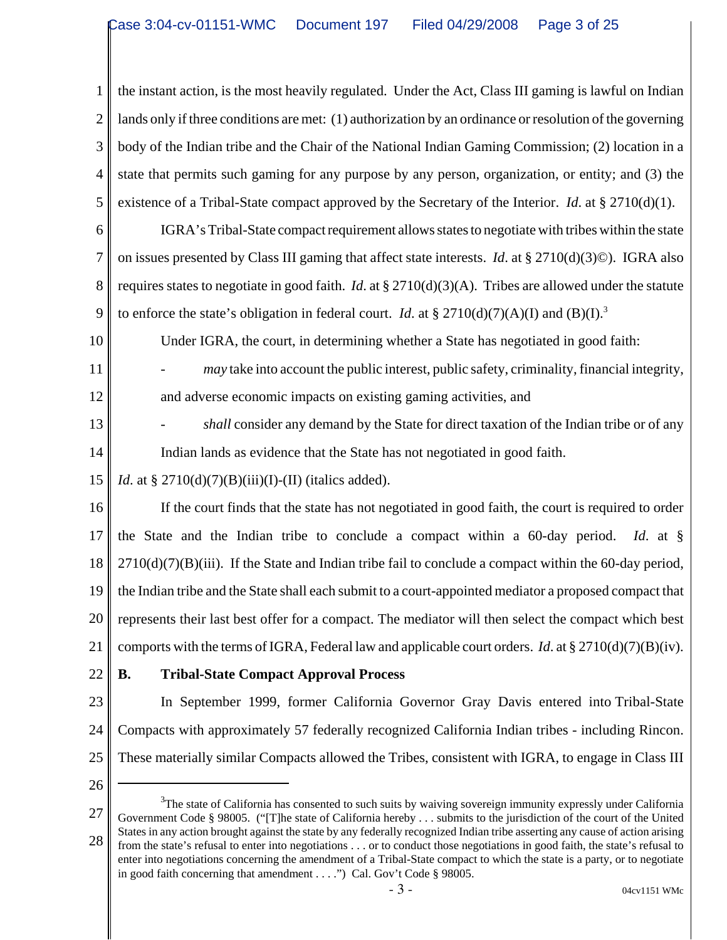1 2 3 4 5 the instant action, is the most heavily regulated. Under the Act, Class III gaming is lawful on Indian lands only if three conditions are met: (1) authorization by an ordinance or resolution of the governing body of the Indian tribe and the Chair of the National Indian Gaming Commission; (2) location in a state that permits such gaming for any purpose by any person, organization, or entity; and (3) the existence of a Tribal-State compact approved by the Secretary of the Interior. *Id*. at § 2710(d)(1).

6 7 8 9 IGRA's Tribal-State compact requirement allows states to negotiate with tribes within the state on issues presented by Class III gaming that affect state interests. *Id*. at § 2710(d)(3)©). IGRA also requires states to negotiate in good faith. *Id*. at § 2710(d)(3)(A). Tribes are allowed under the statute to enforce the state's obligation in federal court. *Id.* at §  $2710(d)(7)(A)(I)$  and (B)(I).<sup>3</sup>

Under IGRA, the court, in determining whether a State has negotiated in good faith:

- *may* take into account the public interest, public safety, criminality, financial integrity, and adverse economic impacts on existing gaming activities, and
- 13 14 shall consider any demand by the State for direct taxation of the Indian tribe or of any Indian lands as evidence that the State has not negotiated in good faith.
- 15 *Id*. at §  $2710(d)(7)(B)(iii)(I)-(II)$  (italics added).

16 17 18 19 20 21 If the court finds that the state has not negotiated in good faith, the court is required to order the State and the Indian tribe to conclude a compact within a 60-day period. *Id*. at §  $2710(d)(7)(B)(iii)$ . If the State and Indian tribe fail to conclude a compact within the 60-day period, the Indian tribe and the State shall each submit to a court-appointed mediator a proposed compact that represents their last best offer for a compact. The mediator will then select the compact which best comports with the terms of IGRA, Federal law and applicable court orders. *Id*. at § 2710(d)(7)(B)(iv).

22

10

11

12

#### **B. Tribal-State Compact Approval Process**

23 24 25 In September 1999, former California Governor Gray Davis entered into Tribal-State Compacts with approximately 57 federally recognized California Indian tribes - including Rincon. These materially similar Compacts allowed the Tribes, consistent with IGRA, to engage in Class III

<sup>27</sup> 28 <sup>3</sup>The state of California has consented to such suits by waiving sovereign immunity expressly under California Government Code § 98005. ("[T]he state of California hereby . . . submits to the jurisdiction of the court of the United States in any action brought against the state by any federally recognized Indian tribe asserting any cause of action arising from the state's refusal to enter into negotiations . . . or to conduct those negotiations in good faith, the state's refusal to enter into negotiations concerning the amendment of a Tribal-State compact to which the state is a party, or to negotiate in good faith concerning that amendment . . . .") Cal. Gov't Code § 98005.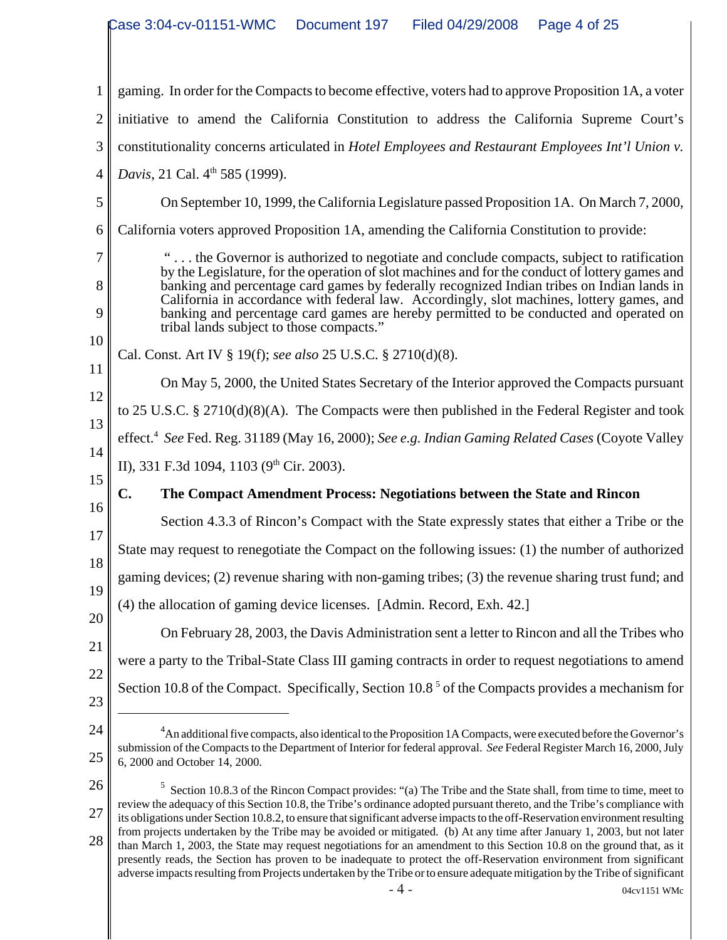|                            | Case 3:04-cv-01151-WMC<br>Filed 04/29/2008<br>Document 197<br>Page 4 of 25                                                                                                                                                                                                                                                                                                                                                                                                                                                   |  |  |  |  |
|----------------------------|------------------------------------------------------------------------------------------------------------------------------------------------------------------------------------------------------------------------------------------------------------------------------------------------------------------------------------------------------------------------------------------------------------------------------------------------------------------------------------------------------------------------------|--|--|--|--|
|                            |                                                                                                                                                                                                                                                                                                                                                                                                                                                                                                                              |  |  |  |  |
| $\mathbf{1}$               | gaming. In order for the Compacts to become effective, voters had to approve Proposition 1A, a voter                                                                                                                                                                                                                                                                                                                                                                                                                         |  |  |  |  |
| $\overline{2}$             | initiative to amend the California Constitution to address the California Supreme Court's                                                                                                                                                                                                                                                                                                                                                                                                                                    |  |  |  |  |
| 3                          | constitutionality concerns articulated in Hotel Employees and Restaurant Employees Int'l Union v.                                                                                                                                                                                                                                                                                                                                                                                                                            |  |  |  |  |
| $\overline{4}$             | Davis, 21 Cal. 4 <sup>th</sup> 585 (1999).                                                                                                                                                                                                                                                                                                                                                                                                                                                                                   |  |  |  |  |
| 5                          | On September 10, 1999, the California Legislature passed Proposition 1A. On March 7, 2000,                                                                                                                                                                                                                                                                                                                                                                                                                                   |  |  |  |  |
| 6                          | California voters approved Proposition 1A, amending the California Constitution to provide:                                                                                                                                                                                                                                                                                                                                                                                                                                  |  |  |  |  |
| 7<br>8<br>9<br>10          | " the Governor is authorized to negotiate and conclude compacts, subject to ratification<br>by the Legislature, for the operation of slot machines and for the conduct of lottery games and<br>banking and percentage card games by federally recognized Indian tribes on Indian lands in<br>California in accordance with federal law. Accordingly, slot machines, lottery games, and<br>banking and percentage card games are hereby permitted to be conducted and operated on<br>tribal lands subject to those compacts." |  |  |  |  |
| 11                         | Cal. Const. Art IV § 19(f); see also 25 U.S.C. § 2710(d)(8).                                                                                                                                                                                                                                                                                                                                                                                                                                                                 |  |  |  |  |
| 12                         | On May 5, 2000, the United States Secretary of the Interior approved the Compacts pursuant                                                                                                                                                                                                                                                                                                                                                                                                                                   |  |  |  |  |
| 13                         | to 25 U.S.C. § 2710(d)(8)(A). The Compacts were then published in the Federal Register and took                                                                                                                                                                                                                                                                                                                                                                                                                              |  |  |  |  |
| 14                         | effect. <sup>4</sup> See Fed. Reg. 31189 (May 16, 2000); See e.g. Indian Gaming Related Cases (Coyote Valley                                                                                                                                                                                                                                                                                                                                                                                                                 |  |  |  |  |
| 15                         | II), 331 F.3d 1094, 1103 (9 <sup>th</sup> Cir. 2003).                                                                                                                                                                                                                                                                                                                                                                                                                                                                        |  |  |  |  |
| 16                         | The Compact Amendment Process: Negotiations between the State and Rincon<br>C.                                                                                                                                                                                                                                                                                                                                                                                                                                               |  |  |  |  |
| 17                         | Section 4.3.3 of Rincon's Compact with the State expressly states that either a Tribe or the                                                                                                                                                                                                                                                                                                                                                                                                                                 |  |  |  |  |
| 18                         | State may request to renegotiate the Compact on the following issues: (1) the number of authorized                                                                                                                                                                                                                                                                                                                                                                                                                           |  |  |  |  |
| 19                         | gaming devices; (2) revenue sharing with non-gaming tribes; (3) the revenue sharing trust fund; and                                                                                                                                                                                                                                                                                                                                                                                                                          |  |  |  |  |
| 20                         | (4) the allocation of gaming device licenses. [Admin. Record, Exh. 42.]                                                                                                                                                                                                                                                                                                                                                                                                                                                      |  |  |  |  |
| 21                         | On February 28, 2003, the Davis Administration sent a letter to Rincon and all the Tribes who                                                                                                                                                                                                                                                                                                                                                                                                                                |  |  |  |  |
|                            |                                                                                                                                                                                                                                                                                                                                                                                                                                                                                                                              |  |  |  |  |
|                            | were a party to the Tribal-State Class III gaming contracts in order to request negotiations to amend                                                                                                                                                                                                                                                                                                                                                                                                                        |  |  |  |  |
|                            | Section 10.8 of the Compact. Specifically, Section $10.85$ of the Compacts provides a mechanism for                                                                                                                                                                                                                                                                                                                                                                                                                          |  |  |  |  |
|                            | <sup>4</sup> An additional five compacts, also identical to the Proposition 1A Compacts, were executed before the Governor's                                                                                                                                                                                                                                                                                                                                                                                                 |  |  |  |  |
|                            | submission of the Compacts to the Department of Interior for federal approval. See Federal Register March 16, 2000, July<br>6, 2000 and October 14, 2000.                                                                                                                                                                                                                                                                                                                                                                    |  |  |  |  |
| 22<br>23<br>24<br>25<br>26 | Section 10.8.3 of the Rincon Compact provides: "(a) The Tribe and the State shall, from time to time, meet to                                                                                                                                                                                                                                                                                                                                                                                                                |  |  |  |  |
| 27                         | review the adequacy of this Section 10.8, the Tribe's ordinance adopted pursuant thereto, and the Tribe's compliance with<br>its obligations under Section 10.8.2, to ensure that significant adverse impacts to the off-Reservation environment resulting<br>from projects undertaken by the Tribe may be avoided or mitigated. (b) At any time after January 1, 2003, but not later                                                                                                                                        |  |  |  |  |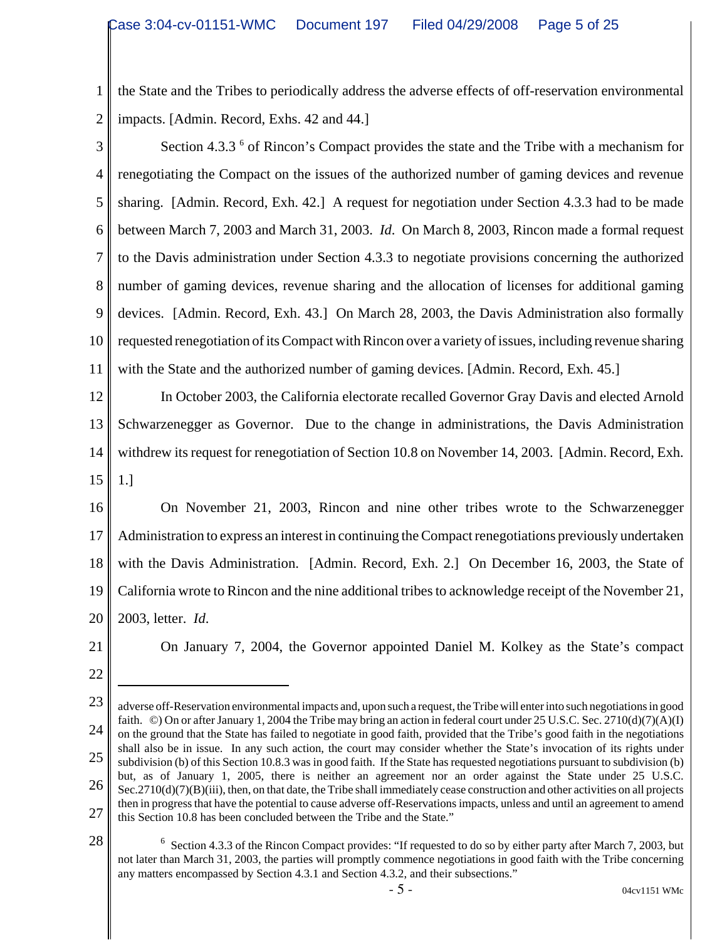1 2 the State and the Tribes to periodically address the adverse effects of off-reservation environmental impacts. [Admin. Record, Exhs. 42 and 44.]

3 4 5 6 7 8 9 10 11 Section 4.3.3<sup>6</sup> of Rincon's Compact provides the state and the Tribe with a mechanism for renegotiating the Compact on the issues of the authorized number of gaming devices and revenue sharing. [Admin. Record, Exh. 42.] A request for negotiation under Section 4.3.3 had to be made between March 7, 2003 and March 31, 2003. *Id*. On March 8, 2003, Rincon made a formal request to the Davis administration under Section 4.3.3 to negotiate provisions concerning the authorized number of gaming devices, revenue sharing and the allocation of licenses for additional gaming devices. [Admin. Record, Exh. 43.] On March 28, 2003, the Davis Administration also formally requested renegotiation of its Compact with Rincon over a variety of issues, including revenue sharing with the State and the authorized number of gaming devices. [Admin. Record, Exh. 45.]

12 13 14 15 In October 2003, the California electorate recalled Governor Gray Davis and elected Arnold Schwarzenegger as Governor. Due to the change in administrations, the Davis Administration withdrew its request for renegotiation of Section 10.8 on November 14, 2003. [Admin. Record, Exh. 1.]

16 17 18 19 20 On November 21, 2003, Rincon and nine other tribes wrote to the Schwarzenegger Administration to express an interest in continuing the Compact renegotiations previously undertaken with the Davis Administration. [Admin. Record, Exh. 2.] On December 16, 2003, the State of California wrote to Rincon and the nine additional tribes to acknowledge receipt of the November 21, 2003, letter. *Id*.

21

On January 7, 2004, the Governor appointed Daniel M. Kolkey as the State's compact

22

<sup>23</sup> 24 25 26 27 adverse off-Reservation environmental impacts and, upon such a request, the Tribe will enter into such negotiations in good faith. ©) On or after January 1, 2004 the Tribe may bring an action in federal court under 25 U.S.C. Sec. 2710(d)(7)(A)(I) on the ground that the State has failed to negotiate in good faith, provided that the Tribe's good faith in the negotiations shall also be in issue. In any such action, the court may consider whether the State's invocation of its rights under subdivision (b) of this Section 10.8.3 was in good faith. If the State has requested negotiations pursuant to subdivision (b) but, as of January 1, 2005, there is neither an agreement nor an order against the State under 25 U.S.C.  $Sec.2710(d)(7)(B)(iii)$ , then, on that date, the Tribe shall immediately cease construction and other activities on all projects then in progress that have the potential to cause adverse off-Reservations impacts, unless and until an agreement to amend this Section 10.8 has been concluded between the Tribe and the State."

 $6$  Section 4.3.3 of the Rincon Compact provides: "If requested to do so by either party after March 7, 2003, but not later than March 31, 2003, the parties will promptly commence negotiations in good faith with the Tribe concerning any matters encompassed by Section 4.3.1 and Section 4.3.2, and their subsections."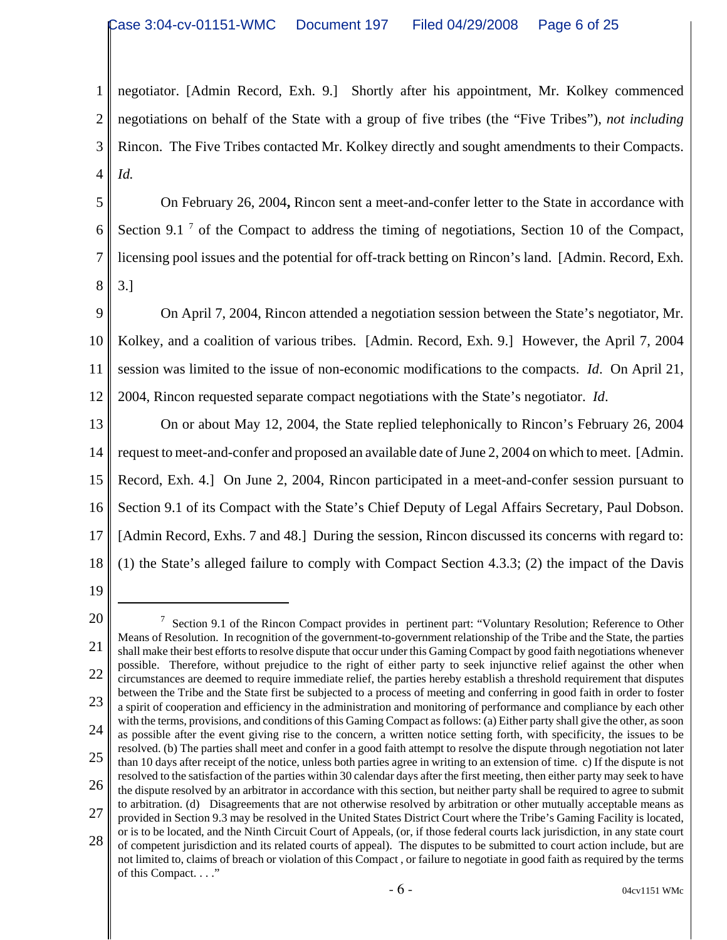1 2 3 4 negotiator. [Admin Record, Exh. 9.] Shortly after his appointment, Mr. Kolkey commenced negotiations on behalf of the State with a group of five tribes (the "Five Tribes"), *not including* Rincon. The Five Tribes contacted Mr. Kolkey directly and sought amendments to their Compacts. *Id.*

5 6 7 8 On February 26, 2004**,** Rincon sent a meet-and-confer letter to the State in accordance with Section 9.1<sup>7</sup> of the Compact to address the timing of negotiations, Section 10 of the Compact, licensing pool issues and the potential for off-track betting on Rincon's land. [Admin. Record, Exh. 3.]

9 10 11 12 On April 7, 2004, Rincon attended a negotiation session between the State's negotiator, Mr. Kolkey, and a coalition of various tribes. [Admin. Record, Exh. 9.] However, the April 7, 2004 session was limited to the issue of non-economic modifications to the compacts. *Id*. On April 21, 2004, Rincon requested separate compact negotiations with the State's negotiator. *Id*.

13 14 15 16 17 18 On or about May 12, 2004, the State replied telephonically to Rincon's February 26, 2004 request to meet-and-confer and proposed an available date of June 2, 2004 on which to meet. [Admin. Record, Exh. 4.] On June 2, 2004, Rincon participated in a meet-and-confer session pursuant to Section 9.1 of its Compact with the State's Chief Deputy of Legal Affairs Secretary, Paul Dobson. [Admin Record, Exhs. 7 and 48.] During the session, Rincon discussed its concerns with regard to: (1) the State's alleged failure to comply with Compact Section 4.3.3; (2) the impact of the Davis

<sup>20</sup> 21 22 23 24 25 26 27 28 <sup>7</sup> Section 9.1 of the Rincon Compact provides in pertinent part: "Voluntary Resolution; Reference to Other Means of Resolution. In recognition of the government-to-government relationship of the Tribe and the State, the parties shall make their best efforts to resolve dispute that occur under this Gaming Compact by good faith negotiations whenever possible. Therefore, without prejudice to the right of either party to seek injunctive relief against the other when circumstances are deemed to require immediate relief, the parties hereby establish a threshold requirement that disputes between the Tribe and the State first be subjected to a process of meeting and conferring in good faith in order to foster a spirit of cooperation and efficiency in the administration and monitoring of performance and compliance by each other with the terms, provisions, and conditions of this Gaming Compact as follows: (a) Either party shall give the other, as soon as possible after the event giving rise to the concern, a written notice setting forth, with specificity, the issues to be resolved. (b) The parties shall meet and confer in a good faith attempt to resolve the dispute through negotiation not later than 10 days after receipt of the notice, unless both parties agree in writing to an extension of time. c) If the dispute is not resolved to the satisfaction of the parties within 30 calendar days after the first meeting, then either party may seek to have the dispute resolved by an arbitrator in accordance with this section, but neither party shall be required to agree to submit to arbitration. (d) Disagreements that are not otherwise resolved by arbitration or other mutually acceptable means as provided in Section 9.3 may be resolved in the United States District Court where the Tribe's Gaming Facility is located, or is to be located, and the Ninth Circuit Court of Appeals, (or, if those federal courts lack jurisdiction, in any state court of competent jurisdiction and its related courts of appeal). The disputes to be submitted to court action include, but are not limited to, claims of breach or violation of this Compact , or failure to negotiate in good faith as required by the terms of this Compact. . . ."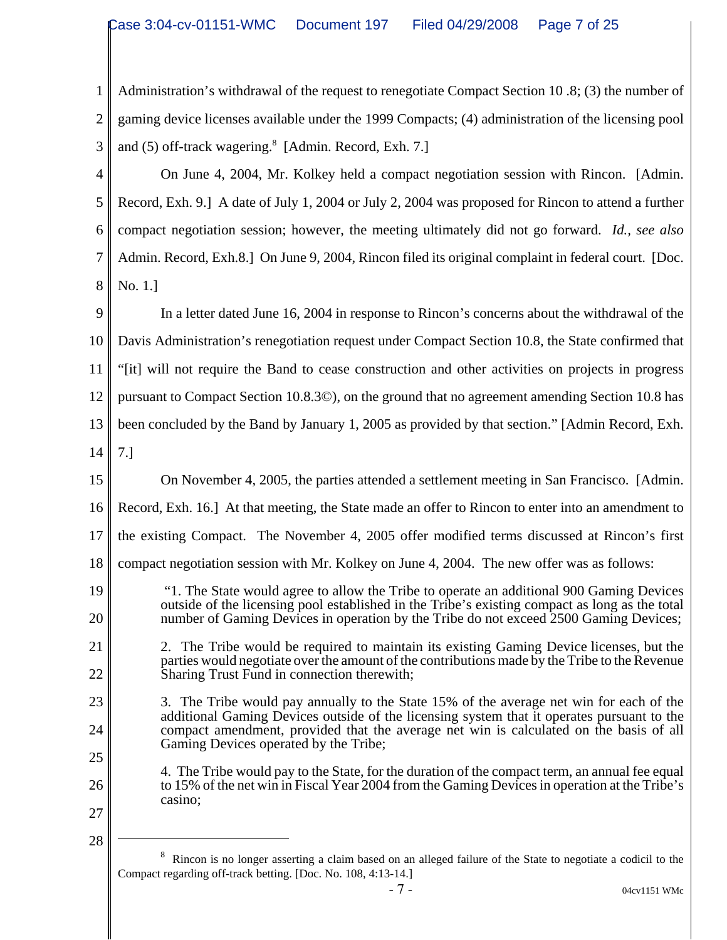| 1                    | Administration's withdrawal of the request to renegotiate Compact Section 10.8; (3) the number of   |
|----------------------|-----------------------------------------------------------------------------------------------------|
| $\overline{2}$       | gaming device licenses available under the 1999 Compacts; (4) administration of the licensing pool  |
| 3                    | and (5) off-track wagering. <sup>8</sup> [Admin. Record, Exh. 7.]                                   |
| 4                    | On June 4, 2004, Mr. Kolkey held a compact negotiation session with Rincon. [Admin.]                |
| 5                    | Record, Exh. 9.] A date of July 1, 2004 or July 2, 2004 was proposed for Rincon to attend a further |
| 6                    | compact negotiation session; however, the meeting ultimately did not go forward. Id., see also      |
| $\overline{7}$       | Admin. Record, Exh.8.] On June 9, 2004, Rincon filed its original complaint in federal court. [Doc. |
| 8                    | No. 1.]                                                                                             |
| 9                    | In a letter dated June 16, 2004 in response to Rincon's concerns about the withdrawal of the        |
| 10                   | Davis Administration's renegotiation request under Compact Section 10.8, the State confirmed that   |
| 11                   | "[it] will not require the Band to cease construction and other activities on projects in progress  |
| 12                   | pursuant to Compact Section 10.8.30), on the ground that no agreement amending Section 10.8 has     |
|                      |                                                                                                     |
|                      | been concluded by the Band by January 1, 2005 as provided by that section." [Admin Record, Exh.     |
|                      | 7.1                                                                                                 |
|                      | On November 4, 2005, the parties attended a settlement meeting in San Francisco. [Admin.            |
| 13<br>14<br>15<br>16 | Record, Exh. 16.] At that meeting, the State made an offer to Rincon to enter into an amendment to  |

- 18 compact negotiation session with Mr. Kolkey on June 4, 2004. The new offer was as follows:
- 19 20
- 21 22

23

24

25

26

 2. The Tribe would be required to maintain its existing Gaming Device licenses, but the parties would negotiate over the amount of the contributions made by the Tribe to the Revenue Sharing Trust Fund in connection therewith;

 "1. The State would agree to allow the Tribe to operate an additional 900 Gaming Devices outside of the licensing pool established in the Tribe's existing compact as long as the total number of Gaming Devices in operation by the Tribe do not exceed 2500 Gaming Devices;

3. The Tribe would pay annually to the State 15% of the average net win for each of the additional Gaming Devices outside of the licensing system that it operates pursuant to the compact amendment, provided that the average net win is calculated on the basis of all Gaming Devices operated by the Tribe;

4. The Tribe would pay to the State, for the duration of the compact term, an annual fee equal to 15% of the net win in Fiscal Year 2004 from the Gaming Devices in operation at the Tribe's casino;

27 28

> <sup>8</sup> Rincon is no longer asserting a claim based on an alleged failure of the State to negotiate a codicil to the Compact regarding off-track betting. [Doc. No. 108, 4:13-14.]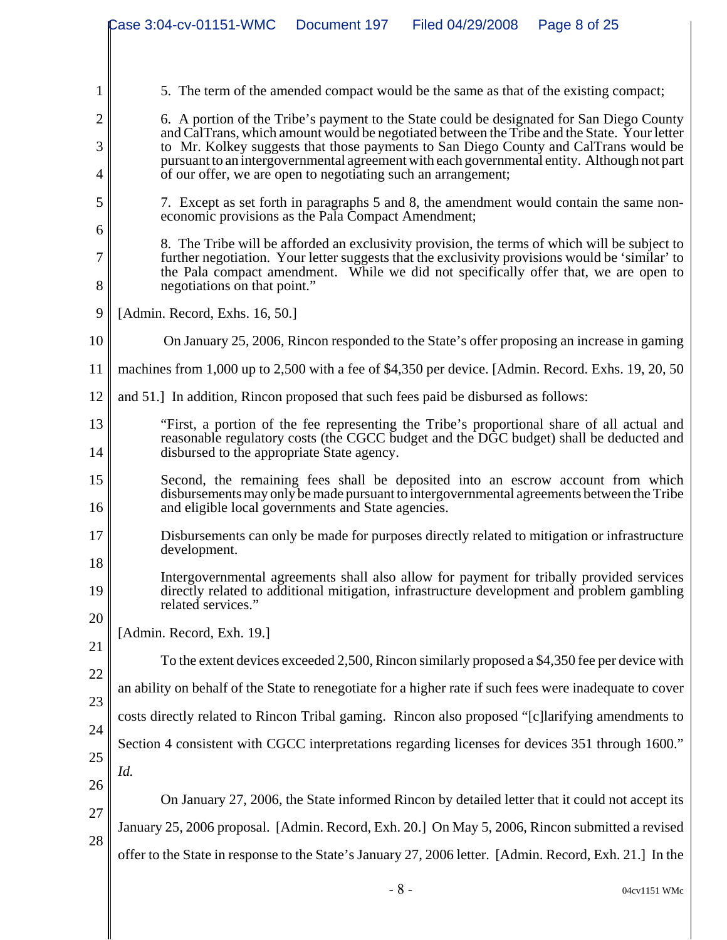|                | Case 3:04-cv-01151-WMC<br>Document 197<br>Filed 04/29/2008<br>Page 8 of 25                                                                                                                                                                                                               |  |  |  |  |  |
|----------------|------------------------------------------------------------------------------------------------------------------------------------------------------------------------------------------------------------------------------------------------------------------------------------------|--|--|--|--|--|
|                |                                                                                                                                                                                                                                                                                          |  |  |  |  |  |
|                |                                                                                                                                                                                                                                                                                          |  |  |  |  |  |
| 1              | 5. The term of the amended compact would be the same as that of the existing compact;                                                                                                                                                                                                    |  |  |  |  |  |
| $\overline{2}$ | 6. A portion of the Tribe's payment to the State could be designated for San Diego County                                                                                                                                                                                                |  |  |  |  |  |
| 3              | and CalTrans, which amount would be negotiated between the Tribe and the State. Your letter<br>to Mr. Kolkey suggests that those payments to San Diego County and CalTrans would be                                                                                                      |  |  |  |  |  |
| 4              | pursuant to an intergovernmental agreement with each governmental entity. Although not part<br>of our offer, we are open to negotiating such an arrangement;                                                                                                                             |  |  |  |  |  |
| 5              | 7. Except as set forth in paragraphs 5 and 8, the amendment would contain the same non-                                                                                                                                                                                                  |  |  |  |  |  |
| 6              | economic provisions as the Pala Compact Amendment;                                                                                                                                                                                                                                       |  |  |  |  |  |
| 7              | 8. The Tribe will be afforded an exclusivity provision, the terms of which will be subject to<br>further negotiation. Your letter suggests that the exclusivity provisions would be 'similar' to<br>the Pala compact amendment. While we did not specifically offer that, we are open to |  |  |  |  |  |
| 8              | negotiations on that point."                                                                                                                                                                                                                                                             |  |  |  |  |  |
| 9              | [Admin. Record, Exhs. 16, 50.]                                                                                                                                                                                                                                                           |  |  |  |  |  |
| 10             | On January 25, 2006, Rincon responded to the State's offer proposing an increase in gaming                                                                                                                                                                                               |  |  |  |  |  |
| 11             | machines from 1,000 up to 2,500 with a fee of \$4,350 per device. [Admin. Record. Exhs. 19, 20, 50]                                                                                                                                                                                      |  |  |  |  |  |
| 12             | and 51.] In addition, Rincon proposed that such fees paid be disbursed as follows:                                                                                                                                                                                                       |  |  |  |  |  |
| 13             | "First, a portion of the fee representing the Tribe's proportional share of all actual and<br>reasonable regulatory costs (the CGCC budget and the DGC budget) shall be deducted and                                                                                                     |  |  |  |  |  |
| 14             | disbursed to the appropriate State agency.                                                                                                                                                                                                                                               |  |  |  |  |  |
| 15<br>16       | Second, the remaining fees shall be deposited into an escrow account from which<br>disbursements may only be made pursuant to intergovernmental agreements between the Tribe<br>and eligible local governments and State agencies.                                                       |  |  |  |  |  |
| 17             | Disbursements can only be made for purposes directly related to mitigation or infrastructure<br>development.                                                                                                                                                                             |  |  |  |  |  |
| 18             | Intergovernmental agreements shall also allow for payment for tribally provided services                                                                                                                                                                                                 |  |  |  |  |  |
| 19             | directly related to additional mitigation, infrastructure development and problem gambling<br>related services."                                                                                                                                                                         |  |  |  |  |  |
| 20             | [Admin. Record, Exh. 19.]                                                                                                                                                                                                                                                                |  |  |  |  |  |
| 21             | To the extent devices exceeded 2,500, Rincon similarly proposed a \$4,350 fee per device with                                                                                                                                                                                            |  |  |  |  |  |
| 22             | an ability on behalf of the State to renegotiate for a higher rate if such fees were inadequate to cover                                                                                                                                                                                 |  |  |  |  |  |
| 23             | costs directly related to Rincon Tribal gaming. Rincon also proposed "[c]larifying amendments to                                                                                                                                                                                         |  |  |  |  |  |
| 24             | Section 4 consistent with CGCC interpretations regarding licenses for devices 351 through 1600."                                                                                                                                                                                         |  |  |  |  |  |
| 25             | Id.                                                                                                                                                                                                                                                                                      |  |  |  |  |  |
| 26             | On January 27, 2006, the State informed Rincon by detailed letter that it could not accept its                                                                                                                                                                                           |  |  |  |  |  |
| 27             | January 25, 2006 proposal. [Admin. Record, Exh. 20.] On May 5, 2006, Rincon submitted a revised                                                                                                                                                                                          |  |  |  |  |  |
| 28             | offer to the State in response to the State's January 27, 2006 letter. [Admin. Record, Exh. 21.] In the                                                                                                                                                                                  |  |  |  |  |  |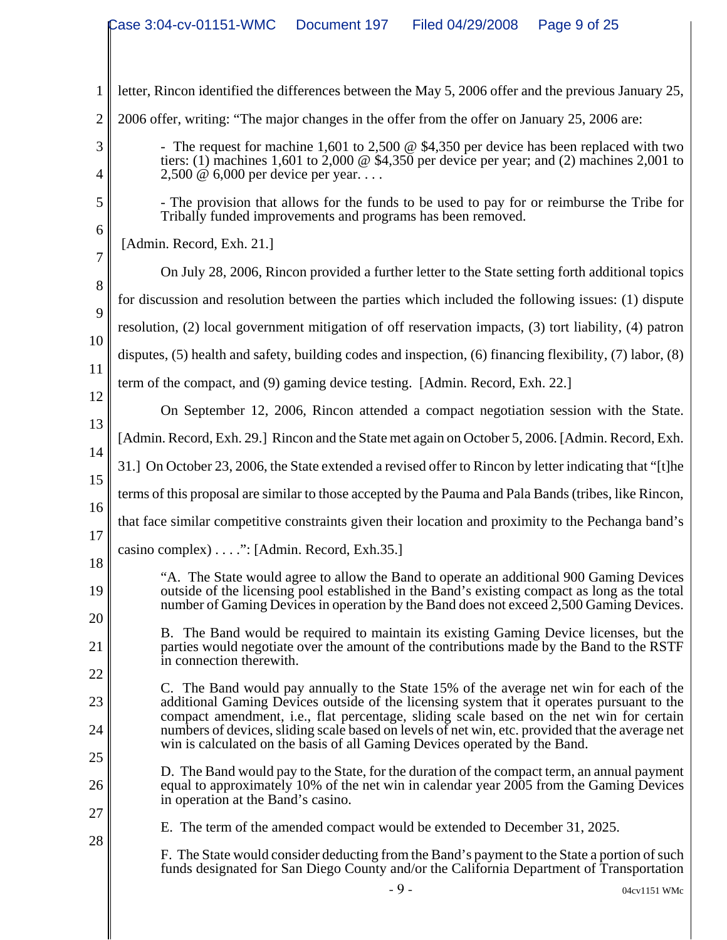|                | Case 3:04-cv-01151-WMC<br>Filed 04/29/2008<br>Page 9 of 25<br>Document 197                                                                                                                                                                                                          |  |  |  |  |  |
|----------------|-------------------------------------------------------------------------------------------------------------------------------------------------------------------------------------------------------------------------------------------------------------------------------------|--|--|--|--|--|
|                |                                                                                                                                                                                                                                                                                     |  |  |  |  |  |
| 1              | letter, Rincon identified the differences between the May 5, 2006 offer and the previous January 25,                                                                                                                                                                                |  |  |  |  |  |
| $\overline{2}$ | 2006 offer, writing: "The major changes in the offer from the offer on January 25, 2006 are:                                                                                                                                                                                        |  |  |  |  |  |
| 3              | - The request for machine 1,601 to 2,500 $\omega$ \$4,350 per device has been replaced with two                                                                                                                                                                                     |  |  |  |  |  |
| 4              | tiers: (1) machines 1,601 to 2,000 $\circledcirc$ \$4,350 per device per year; and (2) machines 2,001 to<br>$2,500 \& 6,000$ per device per year                                                                                                                                    |  |  |  |  |  |
| 5              | - The provision that allows for the funds to be used to pay for or reimburse the Tribe for<br>Tribally funded improvements and programs has been removed.                                                                                                                           |  |  |  |  |  |
| 6<br>7         | [Admin. Record, Exh. 21.]                                                                                                                                                                                                                                                           |  |  |  |  |  |
| 8              | On July 28, 2006, Rincon provided a further letter to the State setting forth additional topics                                                                                                                                                                                     |  |  |  |  |  |
| 9              | for discussion and resolution between the parties which included the following issues: (1) dispute                                                                                                                                                                                  |  |  |  |  |  |
| 10             | resolution, (2) local government mitigation of off reservation impacts, (3) tort liability, (4) patron                                                                                                                                                                              |  |  |  |  |  |
| 11             | disputes, $(5)$ health and safety, building codes and inspection, $(6)$ financing flexibility, $(7)$ labor, $(8)$                                                                                                                                                                   |  |  |  |  |  |
| 12             | term of the compact, and (9) gaming device testing. [Admin. Record, Exh. 22.]                                                                                                                                                                                                       |  |  |  |  |  |
| 13             | On September 12, 2006, Rincon attended a compact negotiation session with the State.                                                                                                                                                                                                |  |  |  |  |  |
| 14             | [Admin. Record, Exh. 29.] Rincon and the State met again on October 5, 2006. [Admin. Record, Exh.                                                                                                                                                                                   |  |  |  |  |  |
| 15             | 31.] On October 23, 2006, the State extended a revised offer to Rincon by letter indicating that "[t]he                                                                                                                                                                             |  |  |  |  |  |
| 16             | terms of this proposal are similar to those accepted by the Pauma and Pala Bands (tribes, like Rincon,                                                                                                                                                                              |  |  |  |  |  |
| 17             | that face similar competitive constraints given their location and proximity to the Pechanga band's                                                                                                                                                                                 |  |  |  |  |  |
| 18             | casino complex) ": [Admin. Record, Exh.35.]                                                                                                                                                                                                                                         |  |  |  |  |  |
| 19             | "A. The State would agree to allow the Band to operate an additional 900 Gaming Devices<br>outside of the licensing pool established in the Band's existing compact as long as the total<br>number of Gaming Devices in operation by the Band does not exceed 2,500 Gaming Devices. |  |  |  |  |  |
| 20<br>21       | B. The Band would be required to maintain its existing Gaming Device licenses, but the<br>parties would negotiate over the amount of the contributions made by the Band to the RSTF<br>in connection therewith.                                                                     |  |  |  |  |  |
| 22<br>23       | C. The Band would pay annually to the State 15% of the average net win for each of the<br>additional Gaming Devices outside of the licensing system that it operates pursuant to the                                                                                                |  |  |  |  |  |
| 24<br>25       | compact amendment, i.e., flat percentage, sliding scale based on the net win for certain<br>numbers of devices, sliding scale based on levels of net win, etc. provided that the average net<br>win is calculated on the basis of all Gaming Devices operated by the Band.          |  |  |  |  |  |
| 26             | D. The Band would pay to the State, for the duration of the compact term, an annual payment<br>equal to approximately 10% of the net win in calendar year 2005 from the Gaming Devices<br>in operation at the Band's casino.                                                        |  |  |  |  |  |
| 27             | E. The term of the amended compact would be extended to December 31, 2025.                                                                                                                                                                                                          |  |  |  |  |  |
| 28             | F. The State would consider deducting from the Band's payment to the State a portion of such<br>funds designated for San Diego County and/or the California Department of Transportation                                                                                            |  |  |  |  |  |
|                | $-9-$<br>04cv1151 WMc                                                                                                                                                                                                                                                               |  |  |  |  |  |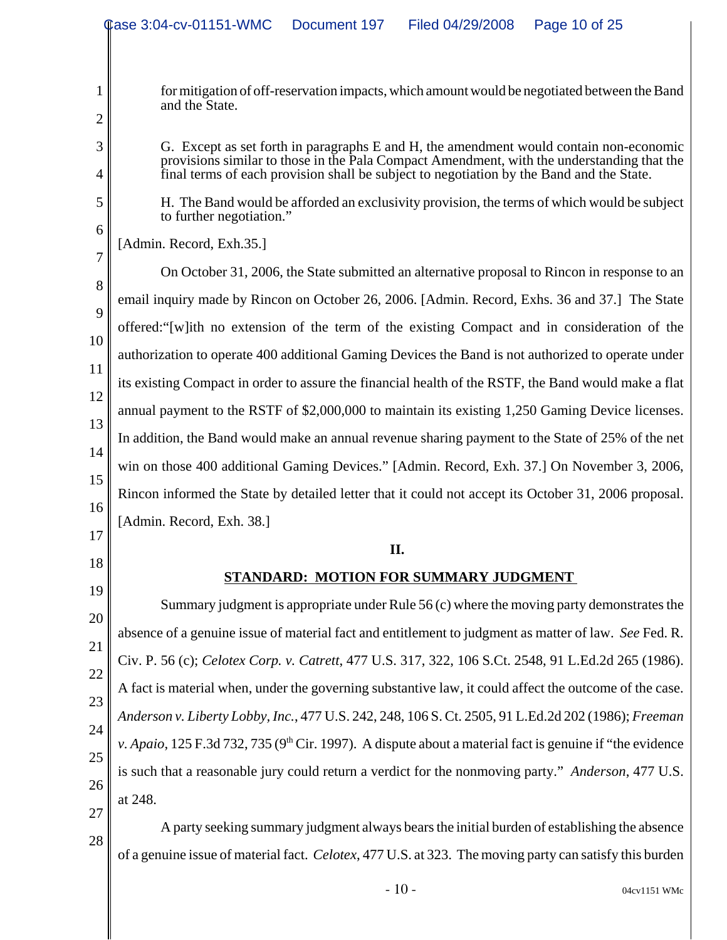|                                                                                                            | Case 3:04-cv-01151-WMC<br>Document 197<br>Filed 04/29/2008<br>Page 10 of 25                                                                                                                                                                                                                                                                                                                        |  |  |  |  |  |
|------------------------------------------------------------------------------------------------------------|----------------------------------------------------------------------------------------------------------------------------------------------------------------------------------------------------------------------------------------------------------------------------------------------------------------------------------------------------------------------------------------------------|--|--|--|--|--|
| 1<br>$\overline{2}$                                                                                        | for mitigation of off-reservation impacts, which amount would be negotiated between the Band<br>and the State.<br>G. Except as set forth in paragraphs E and H, the amendment would contain non-economic<br>provisions similar to those in the Pala Compact Amendment, with the understanding that the<br>final terms of each provision shall be subject to negotiation by the Band and the State. |  |  |  |  |  |
| 3<br>4                                                                                                     |                                                                                                                                                                                                                                                                                                                                                                                                    |  |  |  |  |  |
| 5<br>6                                                                                                     | H. The Band would be afforded an exclusivity provision, the terms of which would be subject<br>to further negotiation."                                                                                                                                                                                                                                                                            |  |  |  |  |  |
|                                                                                                            | [Admin. Record, Exh.35.]                                                                                                                                                                                                                                                                                                                                                                           |  |  |  |  |  |
| $\overline{7}$                                                                                             | On October 31, 2006, the State submitted an alternative proposal to Rincon in response to an                                                                                                                                                                                                                                                                                                       |  |  |  |  |  |
| 8                                                                                                          | email inquiry made by Rincon on October 26, 2006. [Admin. Record, Exhs. 36 and 37.] The State                                                                                                                                                                                                                                                                                                      |  |  |  |  |  |
| 9<br>offered: "[w]ith no extension of the term of the existing Compact and in consideration of the         |                                                                                                                                                                                                                                                                                                                                                                                                    |  |  |  |  |  |
| 10<br>authorization to operate 400 additional Gaming Devices the Band is not authorized to operate under   |                                                                                                                                                                                                                                                                                                                                                                                                    |  |  |  |  |  |
| 11<br>its existing Compact in order to assure the financial health of the RSTF, the Band would make a flat |                                                                                                                                                                                                                                                                                                                                                                                                    |  |  |  |  |  |
| 12                                                                                                         | annual payment to the RSTF of \$2,000,000 to maintain its existing 1,250 Gaming Device licenses.                                                                                                                                                                                                                                                                                                   |  |  |  |  |  |
| 13                                                                                                         | In addition, the Band would make an annual revenue sharing payment to the State of 25% of the net                                                                                                                                                                                                                                                                                                  |  |  |  |  |  |
| 14                                                                                                         | win on those 400 additional Gaming Devices." [Admin. Record, Exh. 37.] On November 3, 2006,<br>15<br>Rincon informed the State by detailed letter that it could not accept its October 31, 2006 proposal.<br>16<br>[Admin. Record, Exh. 38.]                                                                                                                                                       |  |  |  |  |  |
|                                                                                                            |                                                                                                                                                                                                                                                                                                                                                                                                    |  |  |  |  |  |
|                                                                                                            |                                                                                                                                                                                                                                                                                                                                                                                                    |  |  |  |  |  |
| 17                                                                                                         | II.                                                                                                                                                                                                                                                                                                                                                                                                |  |  |  |  |  |
| 18<br>STANDARD: MOTION FOR SUMMARY JUDGMENT                                                                |                                                                                                                                                                                                                                                                                                                                                                                                    |  |  |  |  |  |
| 19                                                                                                         | Summary judgment is appropriate under Rule $56(c)$ where the moving party demonstrates the                                                                                                                                                                                                                                                                                                         |  |  |  |  |  |
| 20                                                                                                         | absence of a genuine issue of material fact and entitlement to judgment as matter of law. See Fed. R.                                                                                                                                                                                                                                                                                              |  |  |  |  |  |
| 21                                                                                                         | Civ. P. 56 (c); Celotex Corp. v. Catrett, 477 U.S. 317, 322, 106 S.Ct. 2548, 91 L.Ed.2d 265 (1986).                                                                                                                                                                                                                                                                                                |  |  |  |  |  |
| 22                                                                                                         | A fact is material when, under the governing substantive law, it could affect the outcome of the case.                                                                                                                                                                                                                                                                                             |  |  |  |  |  |
| 23                                                                                                         | Anderson v. Liberty Lobby, Inc., 477 U.S. 242, 248, 106 S. Ct. 2505, 91 L.Ed.2d 202 (1986); Freeman                                                                                                                                                                                                                                                                                                |  |  |  |  |  |
| 24                                                                                                         | v. Apaio, 125 F.3d 732, 735 ( $9th$ Cir. 1997). A dispute about a material fact is genuine if "the evidence"                                                                                                                                                                                                                                                                                       |  |  |  |  |  |
| 25                                                                                                         | is such that a reasonable jury could return a verdict for the nonmoving party." Anderson, 477 U.S.                                                                                                                                                                                                                                                                                                 |  |  |  |  |  |
| 26                                                                                                         | at 248.                                                                                                                                                                                                                                                                                                                                                                                            |  |  |  |  |  |
| 27<br>28                                                                                                   | A party seeking summary judgment always bears the initial burden of establishing the absence                                                                                                                                                                                                                                                                                                       |  |  |  |  |  |
|                                                                                                            | of a genuine issue of material fact. Celotex, 477 U.S. at 323. The moving party can satisfy this burden                                                                                                                                                                                                                                                                                            |  |  |  |  |  |
|                                                                                                            | $-10-$<br>04cv1151 WMc                                                                                                                                                                                                                                                                                                                                                                             |  |  |  |  |  |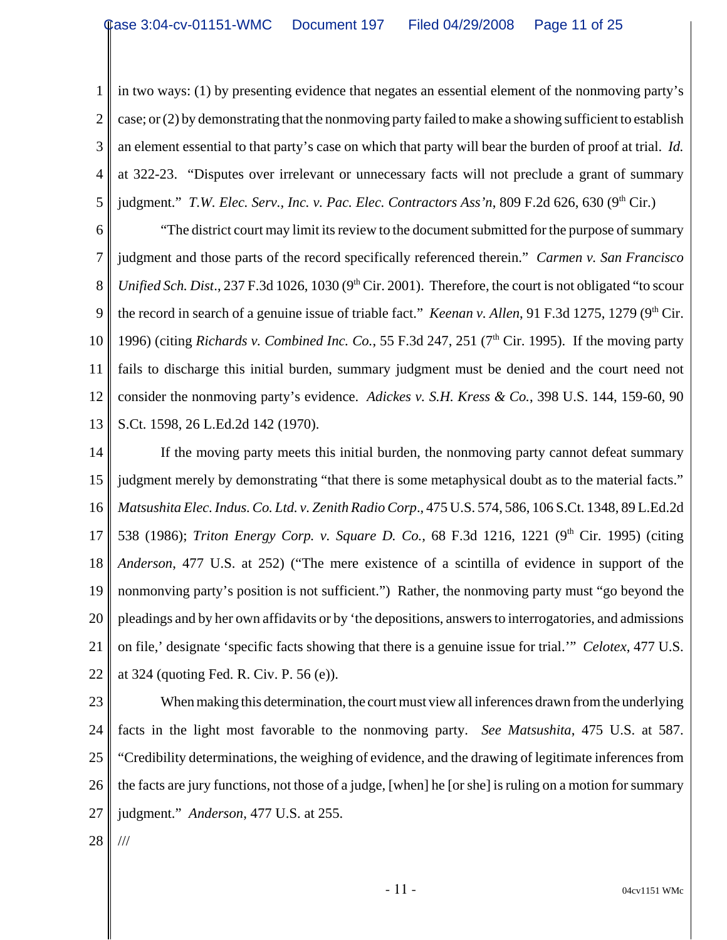1 2 3 4 5 in two ways: (1) by presenting evidence that negates an essential element of the nonmoving party's case; or (2) by demonstrating that the nonmoving party failed to make a showing sufficient to establish an element essential to that party's case on which that party will bear the burden of proof at trial. *Id.* at 322-23. "Disputes over irrelevant or unnecessary facts will not preclude a grant of summary judgment." *T.W. Elec. Serv., Inc. v. Pac. Elec. Contractors Ass'n*, 809 F.2d 626, 630 (9<sup>th</sup> Cir.)

6 7 8 9 10 11 12 13 "The district court may limit its review to the document submitted for the purpose of summary judgment and those parts of the record specifically referenced therein." *Carmen v. San Francisco Unified Sch. Dist.*, 237 F.3d 1026, 1030 (9<sup>th</sup> Cir. 2001). Therefore, the court is not obligated "to scour the record in search of a genuine issue of triable fact." *Keenan v. Allen*, 91 F.3d 1275, 1279 (9<sup>th</sup> Cir. 1996) (citing *Richards v. Combined Inc. Co.*, 55 F.3d 247, 251 ( $7<sup>th</sup>$  Cir. 1995). If the moving party fails to discharge this initial burden, summary judgment must be denied and the court need not consider the nonmoving party's evidence. *Adickes v. S.H. Kress & Co.*, 398 U.S. 144, 159-60, 90 S.Ct. 1598, 26 L.Ed.2d 142 (1970).

14 15 16 17 18 19 20 21 22 If the moving party meets this initial burden, the nonmoving party cannot defeat summary judgment merely by demonstrating "that there is some metaphysical doubt as to the material facts." *Matsushita Elec. Indus. Co. Ltd. v. Zenith Radio Corp*., 475 U.S. 574, 586, 106 S.Ct. 1348, 89 L.Ed.2d 538 (1986); *Triton Energy Corp. v. Square D. Co.*, 68 F.3d 1216, 1221 (9<sup>th</sup> Cir. 1995) (citing *Anderson*, 477 U.S. at 252) ("The mere existence of a scintilla of evidence in support of the nonmonving party's position is not sufficient.") Rather, the nonmoving party must "go beyond the pleadings and by her own affidavits or by 'the depositions, answers to interrogatories, and admissions on file,' designate 'specific facts showing that there is a genuine issue for trial.'" *Celotex*, 477 U.S. at 324 (quoting Fed. R. Civ. P. 56 (e)).

23 24 25 26 27 When making this determination, the court must view all inferences drawn from the underlying facts in the light most favorable to the nonmoving party. *See Matsushita*, 475 U.S. at 587. "Credibility determinations, the weighing of evidence, and the drawing of legitimate inferences from the facts are jury functions, not those of a judge, [when] he [or she] is ruling on a motion for summary judgment." *Anderson*, 477 U.S. at 255.

28 ///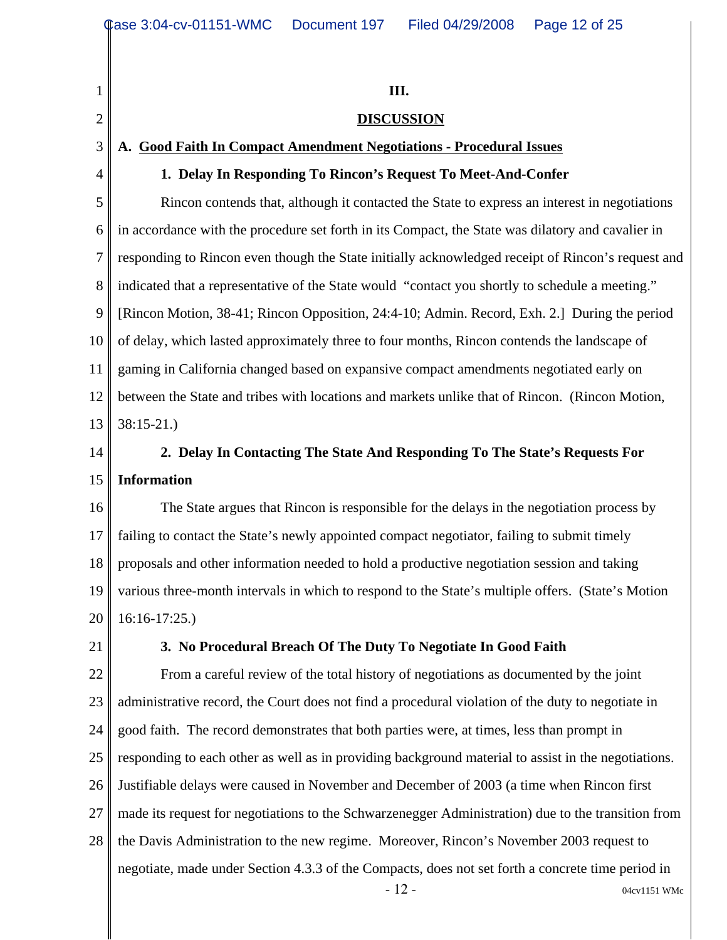1 2 3 4 5 6 7 8 9 10 11 12 13 14 15 16 17 18 19 20 21 22 23 24 25 26 27 28  $-12 - 04 \text{cv} 1151 \text{ WMc}$ **III. DISCUSSION A. Good Faith In Compact Amendment Negotiations - Procedural Issues 1. Delay In Responding To Rincon's Request To Meet-And-Confer** Rincon contends that, although it contacted the State to express an interest in negotiations in accordance with the procedure set forth in its Compact, the State was dilatory and cavalier in responding to Rincon even though the State initially acknowledged receipt of Rincon's request and indicated that a representative of the State would "contact you shortly to schedule a meeting." [Rincon Motion, 38-41; Rincon Opposition, 24:4-10; Admin. Record, Exh. 2.] During the period of delay, which lasted approximately three to four months, Rincon contends the landscape of gaming in California changed based on expansive compact amendments negotiated early on between the State and tribes with locations and markets unlike that of Rincon. (Rincon Motion, 38:15-21.) **2. Delay In Contacting The State And Responding To The State's Requests For Information** The State argues that Rincon is responsible for the delays in the negotiation process by failing to contact the State's newly appointed compact negotiator, failing to submit timely proposals and other information needed to hold a productive negotiation session and taking various three-month intervals in which to respond to the State's multiple offers. (State's Motion 16:16-17:25.) **3. No Procedural Breach Of The Duty To Negotiate In Good Faith** From a careful review of the total history of negotiations as documented by the joint administrative record, the Court does not find a procedural violation of the duty to negotiate in good faith. The record demonstrates that both parties were, at times, less than prompt in responding to each other as well as in providing background material to assist in the negotiations. Justifiable delays were caused in November and December of 2003 (a time when Rincon first made its request for negotiations to the Schwarzenegger Administration) due to the transition from the Davis Administration to the new regime. Moreover, Rincon's November 2003 request to negotiate, made under Section 4.3.3 of the Compacts, does not set forth a concrete time period in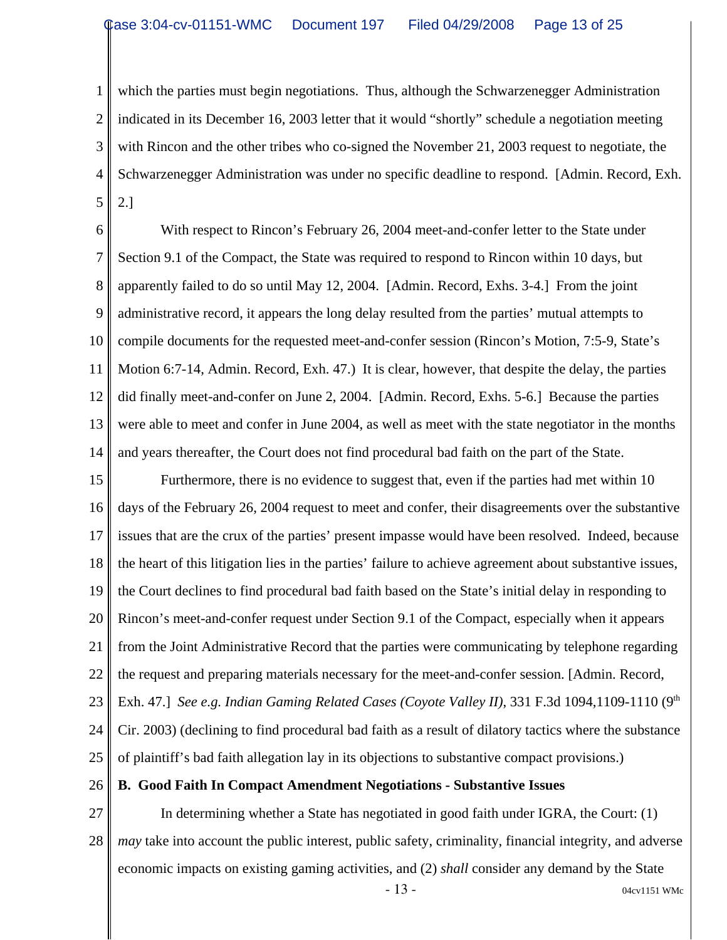1 2 3 4 5 which the parties must begin negotiations. Thus, although the Schwarzenegger Administration indicated in its December 16, 2003 letter that it would "shortly" schedule a negotiation meeting with Rincon and the other tribes who co-signed the November 21, 2003 request to negotiate, the Schwarzenegger Administration was under no specific deadline to respond. [Admin. Record, Exh. 2.]

6 7 8 9 10 11 12 13 14 With respect to Rincon's February 26, 2004 meet-and-confer letter to the State under Section 9.1 of the Compact, the State was required to respond to Rincon within 10 days, but apparently failed to do so until May 12, 2004. [Admin. Record, Exhs. 3-4.] From the joint administrative record, it appears the long delay resulted from the parties' mutual attempts to compile documents for the requested meet-and-confer session (Rincon's Motion, 7:5-9, State's Motion 6:7-14, Admin. Record, Exh. 47.) It is clear, however, that despite the delay, the parties did finally meet-and-confer on June 2, 2004. [Admin. Record, Exhs. 5-6.] Because the parties were able to meet and confer in June 2004, as well as meet with the state negotiator in the months and years thereafter, the Court does not find procedural bad faith on the part of the State.

15 16 17 18 19 20 21 22 23 24 25 Furthermore, there is no evidence to suggest that, even if the parties had met within 10 days of the February 26, 2004 request to meet and confer, their disagreements over the substantive issues that are the crux of the parties' present impasse would have been resolved. Indeed, because the heart of this litigation lies in the parties' failure to achieve agreement about substantive issues, the Court declines to find procedural bad faith based on the State's initial delay in responding to Rincon's meet-and-confer request under Section 9.1 of the Compact, especially when it appears from the Joint Administrative Record that the parties were communicating by telephone regarding the request and preparing materials necessary for the meet-and-confer session. [Admin. Record, Exh. 47.] See e.g. Indian Gaming Related Cases (Coyote Valley II), 331 F.3d 1094,1109-1110 (9<sup>th</sup> Cir. 2003) (declining to find procedural bad faith as a result of dilatory tactics where the substance of plaintiff's bad faith allegation lay in its objections to substantive compact provisions.)

26 **B. Good Faith In Compact Amendment Negotiations - Substantive Issues**

27 28 In determining whether a State has negotiated in good faith under IGRA, the Court: (1) *may* take into account the public interest, public safety, criminality, financial integrity, and adverse economic impacts on existing gaming activities, and (2) *shall* consider any demand by the State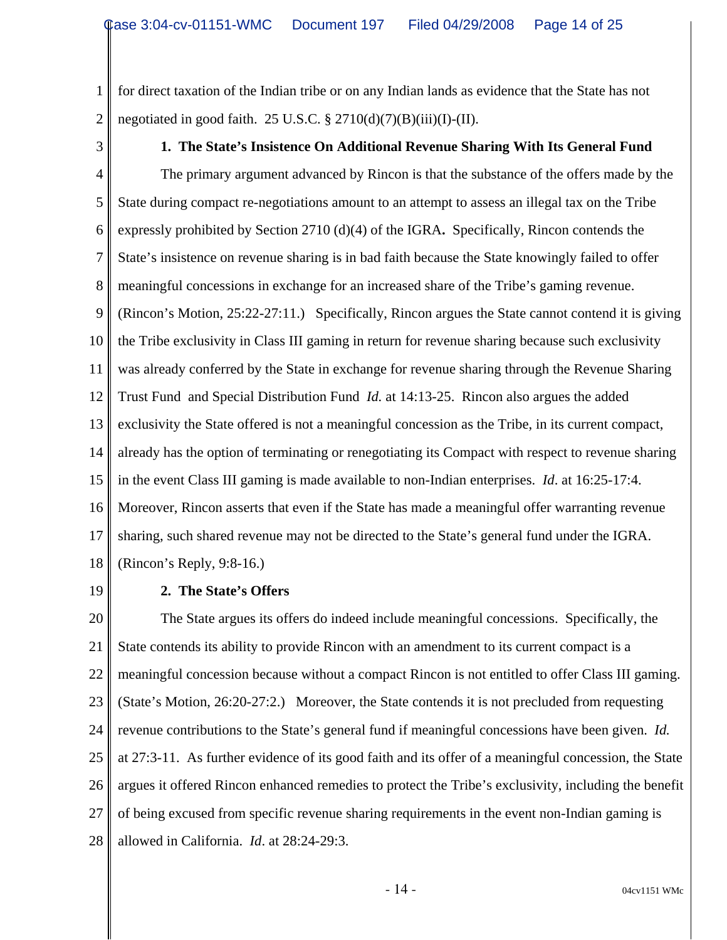1 2 for direct taxation of the Indian tribe or on any Indian lands as evidence that the State has not negotiated in good faith. 25 U.S.C.  $\S 2710(d)(7)(B)(iii)(I)-(II)$ .

3

#### **1. The State's Insistence On Additional Revenue Sharing With Its General Fund**

4 5 6 7 8 9 10 11 12 13 14 15 16 17 18 The primary argument advanced by Rincon is that the substance of the offers made by the State during compact re-negotiations amount to an attempt to assess an illegal tax on the Tribe expressly prohibited by Section 2710 (d)(4) of the IGRA**.** Specifically, Rincon contends the State's insistence on revenue sharing is in bad faith because the State knowingly failed to offer meaningful concessions in exchange for an increased share of the Tribe's gaming revenue. (Rincon's Motion, 25:22-27:11.) Specifically, Rincon argues the State cannot contend it is giving the Tribe exclusivity in Class III gaming in return for revenue sharing because such exclusivity was already conferred by the State in exchange for revenue sharing through the Revenue Sharing Trust Fund and Special Distribution Fund *Id.* at 14:13-25. Rincon also argues the added exclusivity the State offered is not a meaningful concession as the Tribe, in its current compact, already has the option of terminating or renegotiating its Compact with respect to revenue sharing in the event Class III gaming is made available to non-Indian enterprises. *Id*. at 16:25-17:4. Moreover, Rincon asserts that even if the State has made a meaningful offer warranting revenue sharing, such shared revenue may not be directed to the State's general fund under the IGRA. (Rincon's Reply, 9:8-16.)

19

#### **2. The State's Offers**

20 21 22 23 24 25 26 27 28 The State argues its offers do indeed include meaningful concessions. Specifically, the State contends its ability to provide Rincon with an amendment to its current compact is a meaningful concession because without a compact Rincon is not entitled to offer Class III gaming. (State's Motion, 26:20-27:2.) Moreover, the State contends it is not precluded from requesting revenue contributions to the State's general fund if meaningful concessions have been given. *Id.* at 27:3-11. As further evidence of its good faith and its offer of a meaningful concession, the State argues it offered Rincon enhanced remedies to protect the Tribe's exclusivity, including the benefit of being excused from specific revenue sharing requirements in the event non-Indian gaming is allowed in California. *Id*. at 28:24-29:3.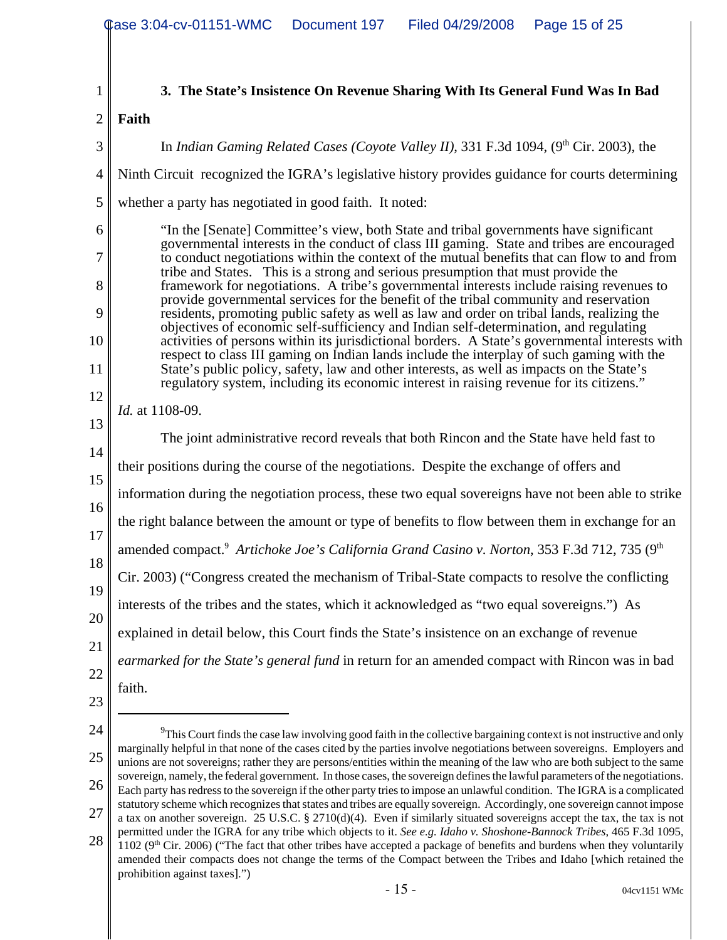- 1 2 3 4 5 6 7 8 9 10 11 12 13 14 15 16 17 18 19 20 21 22 23 24 25 26 27 28 <sup>9</sup>This Court finds the case law involving good faith in the collective bargaining context is not instructive and only marginally helpful in that none of the cases cited by the parties involve negotiations between sovereigns. Employers and unions are not sovereigns; rather they are persons/entities within the meaning of the law who are both subject to the same sovereign, namely, the federal government. In those cases, the sovereign defines the lawful parameters of the negotiations. Each party has redress to the sovereign if the other party tries to impose an unlawful condition. The IGRA is a complicated statutory scheme which recognizes that states and tribes are equally sovereign. Accordingly, one sovereign cannot impose a tax on another sovereign. 25 U.S.C. § 2710(d)(4). Even if similarly situated sovereigns accept the tax, the tax is not permitted under the IGRA for any tribe which objects to it. *See e.g. Idaho v. Shoshone-Bannock Tribes*, 465 F.3d 1095, 1102 ( $9<sup>th</sup>$  Cir. 2006) ("The fact that other tribes have accepted a package of benefits and burdens when they voluntarily amended their compacts does not change the terms of the Compact between the Tribes and Idaho [which retained the **3. The State's Insistence On Revenue Sharing With Its General Fund Was In Bad Faith**  In *Indian Gaming Related Cases (Coyote Valley II)*, 331 F.3d 1094,  $(9<sup>th</sup> Cir. 2003)$ , the Ninth Circuit recognized the IGRA's legislative history provides guidance for courts determining whether a party has negotiated in good faith. It noted: "In the [Senate] Committee's view, both State and tribal governments have significant governmental interests in the conduct of class III gaming. State and tribes are encouraged to conduct negotiations within the context of the mutual benefits that can flow to and from tribe and States. This is a strong and serious presumption that must provide the framework for negotiations. A tribe's governmental interests include raising revenues to provide governmental services for the benefit of the tribal community and reservation residents, promoting public safety as well as law and order on tribal lands, realizing the objectives of economic self-sufficiency and Indian self-determination, and regulating activities of persons within its jurisdictional borders. A State's governmental interests with respect to class III gaming on Indian lands include the interplay of such gaming with the State's public policy, safety, law and other interests, as well as impacts on the State's regulatory system, including its economic interest in raising revenue for its citizens." *Id.* at 1108-09. The joint administrative record reveals that both Rincon and the State have held fast to their positions during the course of the negotiations. Despite the exchange of offers and information during the negotiation process, these two equal sovereigns have not been able to strike the right balance between the amount or type of benefits to flow between them in exchange for an amended compact.<sup>9</sup> Artichoke Joe's California Grand Casino v. Norton, 353 F.3d 712, 735 (9<sup>th</sup> Cir. 2003) ("Congress created the mechanism of Tribal-State compacts to resolve the conflicting interests of the tribes and the states, which it acknowledged as "two equal sovereigns.") As explained in detail below, this Court finds the State's insistence on an exchange of revenue *earmarked for the State's general fund* in return for an amended compact with Rincon was in bad faith.
	- prohibition against taxes].")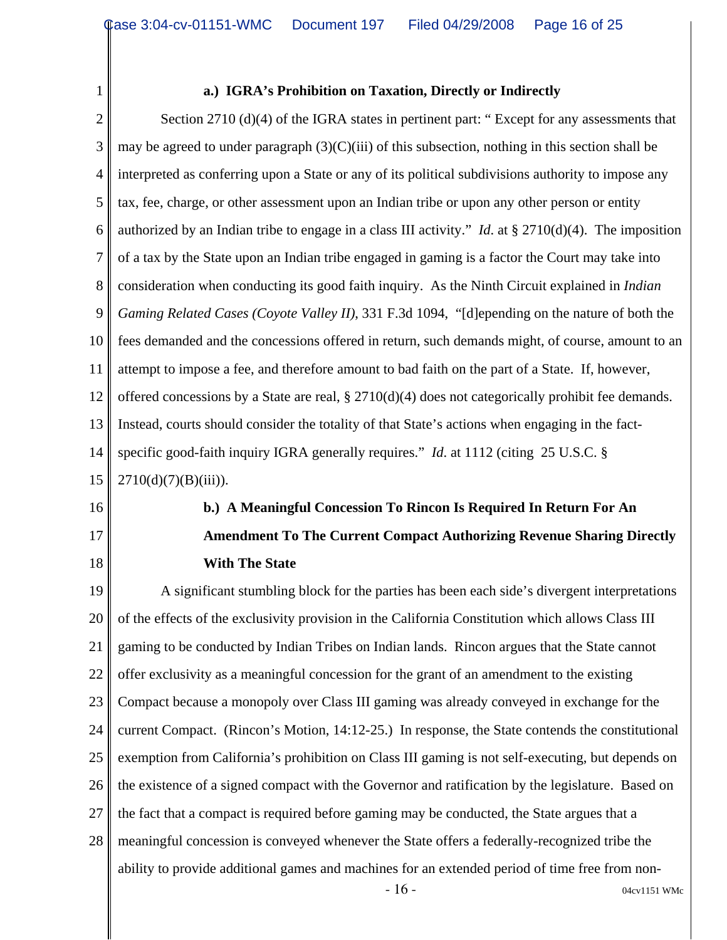#### **a.) IGRA's Prohibition on Taxation, Directly or Indirectly**

2 3 4 5 6 7 8 9 10 11 12 13 14 15 Section 2710 (d)(4) of the IGRA states in pertinent part: " Except for any assessments that may be agreed to under paragraph  $(3)(C)(iii)$  of this subsection, nothing in this section shall be interpreted as conferring upon a State or any of its political subdivisions authority to impose any tax, fee, charge, or other assessment upon an Indian tribe or upon any other person or entity authorized by an Indian tribe to engage in a class III activity." *Id*. at § 2710(d)(4). The imposition of a tax by the State upon an Indian tribe engaged in gaming is a factor the Court may take into consideration when conducting its good faith inquiry. As the Ninth Circuit explained in *Indian Gaming Related Cases (Coyote Valley II)*, 331 F.3d 1094, "[d]epending on the nature of both the fees demanded and the concessions offered in return, such demands might, of course, amount to an attempt to impose a fee, and therefore amount to bad faith on the part of a State. If, however, offered concessions by a State are real, § 2710(d)(4) does not categorically prohibit fee demands. Instead, courts should consider the totality of that State's actions when engaging in the factspecific good-faith inquiry IGRA generally requires." *Id.* at 1112 (citing 25 U.S.C. §  $2710(d)(7)(B)(iii)$ ).

16

1

# 17

18

# **b.) A Meaningful Concession To Rincon Is Required In Return For An Amendment To The Current Compact Authorizing Revenue Sharing Directly With The State**

19 20 21 22 23 24 25 26 27 28 A significant stumbling block for the parties has been each side's divergent interpretations of the effects of the exclusivity provision in the California Constitution which allows Class III gaming to be conducted by Indian Tribes on Indian lands. Rincon argues that the State cannot offer exclusivity as a meaningful concession for the grant of an amendment to the existing Compact because a monopoly over Class III gaming was already conveyed in exchange for the current Compact. (Rincon's Motion, 14:12-25.) In response, the State contends the constitutional exemption from California's prohibition on Class III gaming is not self-executing, but depends on the existence of a signed compact with the Governor and ratification by the legislature. Based on the fact that a compact is required before gaming may be conducted, the State argues that a meaningful concession is conveyed whenever the State offers a federally-recognized tribe the ability to provide additional games and machines for an extended period of time free from non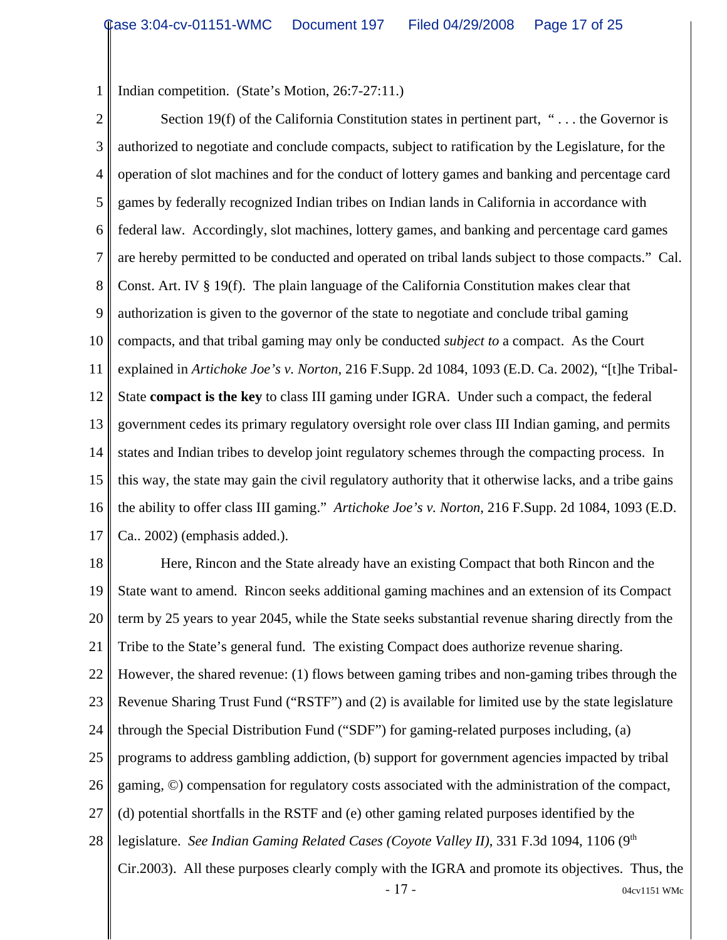1 Indian competition. (State's Motion, 26:7-27:11.)

2 3 4 5 6 7 8 9 10 11 12 13 14 15 16 17 Section 19(f) of the California Constitution states in pertinent part, " $\dots$  the Governor is authorized to negotiate and conclude compacts, subject to ratification by the Legislature, for the operation of slot machines and for the conduct of lottery games and banking and percentage card games by federally recognized Indian tribes on Indian lands in California in accordance with federal law. Accordingly, slot machines, lottery games, and banking and percentage card games are hereby permitted to be conducted and operated on tribal lands subject to those compacts." Cal. Const. Art. IV § 19(f). The plain language of the California Constitution makes clear that authorization is given to the governor of the state to negotiate and conclude tribal gaming compacts, and that tribal gaming may only be conducted *subject to* a compact. As the Court explained in *Artichoke Joe's v. Norton*, 216 F.Supp. 2d 1084, 1093 (E.D. Ca. 2002), "[t]he Tribal-State **compact is the key** to class III gaming under IGRA. Under such a compact, the federal government cedes its primary regulatory oversight role over class III Indian gaming, and permits states and Indian tribes to develop joint regulatory schemes through the compacting process. In this way, the state may gain the civil regulatory authority that it otherwise lacks, and a tribe gains the ability to offer class III gaming." *Artichoke Joe's v. Norton*, 216 F.Supp. 2d 1084, 1093 (E.D. Ca.. 2002) (emphasis added.).

18 19 20 21 22 23 24 25 26 27 28 - 17 - 04cv1151 WMc Here, Rincon and the State already have an existing Compact that both Rincon and the State want to amend. Rincon seeks additional gaming machines and an extension of its Compact term by 25 years to year 2045, while the State seeks substantial revenue sharing directly from the Tribe to the State's general fund. The existing Compact does authorize revenue sharing. However, the shared revenue: (1) flows between gaming tribes and non-gaming tribes through the Revenue Sharing Trust Fund ("RSTF") and (2) is available for limited use by the state legislature through the Special Distribution Fund ("SDF") for gaming-related purposes including, (a) programs to address gambling addiction, (b) support for government agencies impacted by tribal gaming, ©) compensation for regulatory costs associated with the administration of the compact, (d) potential shortfalls in the RSTF and (e) other gaming related purposes identified by the legislature. *See Indian Gaming Related Cases (Coyote Valley II)*, 331 F.3d 1094, 1106 (9<sup>th</sup> Cir.2003). All these purposes clearly comply with the IGRA and promote its objectives. Thus, the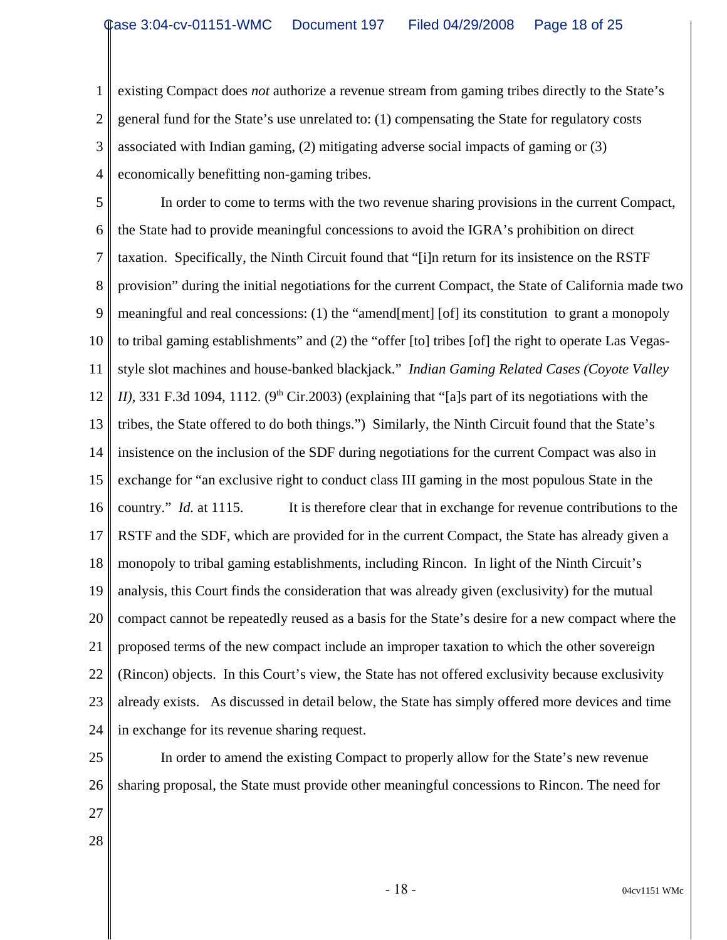1 2 3 4 existing Compact does *not* authorize a revenue stream from gaming tribes directly to the State's general fund for the State's use unrelated to: (1) compensating the State for regulatory costs associated with Indian gaming, (2) mitigating adverse social impacts of gaming or (3) economically benefitting non-gaming tribes.

5 6 7 8 9 10 11 12 13 14 15 16 17 18 19 20 21 22 23 24 In order to come to terms with the two revenue sharing provisions in the current Compact, the State had to provide meaningful concessions to avoid the IGRA's prohibition on direct taxation. Specifically, the Ninth Circuit found that "[i]n return for its insistence on the RSTF provision" during the initial negotiations for the current Compact, the State of California made two meaningful and real concessions: (1) the "amend[ment] [of] its constitution to grant a monopoly to tribal gaming establishments" and (2) the "offer [to] tribes [of] the right to operate Las Vegasstyle slot machines and house-banked blackjack." *Indian Gaming Related Cases (Coyote Valley II*), 331 F.3d 1094, 1112. (9<sup>th</sup> Cir.2003) (explaining that "[a]s part of its negotiations with the tribes, the State offered to do both things.") Similarly, the Ninth Circuit found that the State's insistence on the inclusion of the SDF during negotiations for the current Compact was also in exchange for "an exclusive right to conduct class III gaming in the most populous State in the country." *Id.* at 1115. It is therefore clear that in exchange for revenue contributions to the RSTF and the SDF, which are provided for in the current Compact, the State has already given a monopoly to tribal gaming establishments, including Rincon. In light of the Ninth Circuit's analysis, this Court finds the consideration that was already given (exclusivity) for the mutual compact cannot be repeatedly reused as a basis for the State's desire for a new compact where the proposed terms of the new compact include an improper taxation to which the other sovereign (Rincon) objects. In this Court's view, the State has not offered exclusivity because exclusivity already exists. As discussed in detail below, the State has simply offered more devices and time in exchange for its revenue sharing request.

25 26

In order to amend the existing Compact to properly allow for the State's new revenue sharing proposal, the State must provide other meaningful concessions to Rincon. The need for

- 27
- 28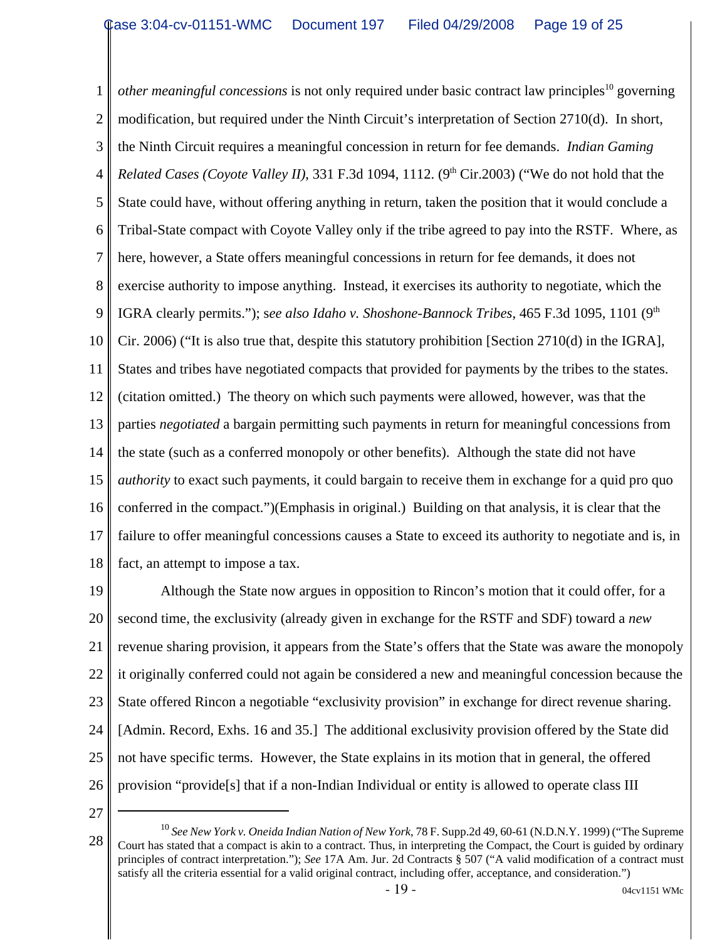1 2 3 4 5 6 7 8 9 10 11 12 13 14 15 16 17 18 *other meaningful concessions* is not only required under basic contract law principles<sup>10</sup> governing modification, but required under the Ninth Circuit's interpretation of Section 2710(d). In short, the Ninth Circuit requires a meaningful concession in return for fee demands. *Indian Gaming Related Cases (Coyote Valley II)*, 331 F.3d 1094, 1112. (9<sup>th</sup> Cir.2003) ("We do not hold that the State could have, without offering anything in return, taken the position that it would conclude a Tribal-State compact with Coyote Valley only if the tribe agreed to pay into the RSTF. Where, as here, however, a State offers meaningful concessions in return for fee demands, it does not exercise authority to impose anything. Instead, it exercises its authority to negotiate, which the IGRA clearly permits."); see also Idaho v. Shoshone-Bannock Tribes, 465 F.3d 1095, 1101 (9<sup>th</sup>) Cir. 2006) ("It is also true that, despite this statutory prohibition [Section 2710(d) in the IGRA], States and tribes have negotiated compacts that provided for payments by the tribes to the states. (citation omitted.) The theory on which such payments were allowed, however, was that the parties *negotiated* a bargain permitting such payments in return for meaningful concessions from the state (such as a conferred monopoly or other benefits). Although the state did not have *authority* to exact such payments, it could bargain to receive them in exchange for a quid pro quo conferred in the compact.")(Emphasis in original.) Building on that analysis, it is clear that the failure to offer meaningful concessions causes a State to exceed its authority to negotiate and is, in fact, an attempt to impose a tax.

19 20 21 22 23 24 25 26 Although the State now argues in opposition to Rincon's motion that it could offer, for a second time, the exclusivity (already given in exchange for the RSTF and SDF) toward a *new* revenue sharing provision, it appears from the State's offers that the State was aware the monopoly it originally conferred could not again be considered a new and meaningful concession because the State offered Rincon a negotiable "exclusivity provision" in exchange for direct revenue sharing. [Admin. Record, Exhs. 16 and 35.] The additional exclusivity provision offered by the State did not have specific terms. However, the State explains in its motion that in general, the offered provision "provide[s] that if a non-Indian Individual or entity is allowed to operate class III

<sup>28</sup> <sup>10</sup> *See New York v. Oneida Indian Nation of New York*, 78 F. Supp.2d 49, 60-61 (N.D.N.Y. 1999) ("The Supreme Court has stated that a compact is akin to a contract. Thus, in interpreting the Compact, the Court is guided by ordinary principles of contract interpretation."); *See* 17A Am. Jur. 2d Contracts § 507 ("A valid modification of a contract must satisfy all the criteria essential for a valid original contract, including offer, acceptance, and consideration.")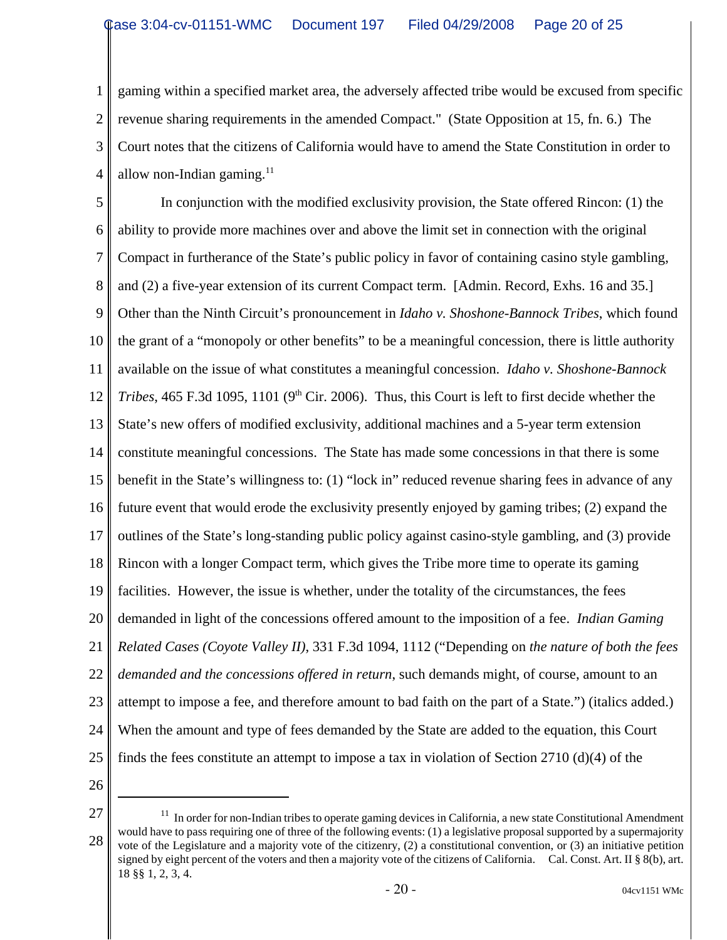1 2 3 4 gaming within a specified market area, the adversely affected tribe would be excused from specific revenue sharing requirements in the amended Compact." (State Opposition at 15, fn. 6.) The Court notes that the citizens of California would have to amend the State Constitution in order to allow non-Indian gaming. $^{11}$ 

5 6 7 8 9 10 11 12 13 14 15 16 17 18 19 20 21 22 23 24 25 In conjunction with the modified exclusivity provision, the State offered Rincon: (1) the ability to provide more machines over and above the limit set in connection with the original Compact in furtherance of the State's public policy in favor of containing casino style gambling, and (2) a five-year extension of its current Compact term. [Admin. Record, Exhs. 16 and 35.] Other than the Ninth Circuit's pronouncement in *Idaho v. Shoshone-Bannock Tribes*, which found the grant of a "monopoly or other benefits" to be a meaningful concession, there is little authority available on the issue of what constitutes a meaningful concession. *Idaho v. Shoshone-Bannock Tribes*, 465 F.3d 1095, 1101 (9<sup>th</sup> Cir. 2006). Thus, this Court is left to first decide whether the State's new offers of modified exclusivity, additional machines and a 5-year term extension constitute meaningful concessions. The State has made some concessions in that there is some benefit in the State's willingness to: (1) "lock in" reduced revenue sharing fees in advance of any future event that would erode the exclusivity presently enjoyed by gaming tribes; (2) expand the outlines of the State's long-standing public policy against casino-style gambling, and (3) provide Rincon with a longer Compact term, which gives the Tribe more time to operate its gaming facilities. However, the issue is whether, under the totality of the circumstances, the fees demanded in light of the concessions offered amount to the imposition of a fee. *Indian Gaming Related Cases (Coyote Valley II)*, 331 F.3d 1094, 1112 ("Depending on *the nature of both the fees demanded and the concessions offered in return*, such demands might, of course, amount to an attempt to impose a fee, and therefore amount to bad faith on the part of a State.") (italics added.) When the amount and type of fees demanded by the State are added to the equation, this Court finds the fees constitute an attempt to impose a tax in violation of Section 2710 (d)(4) of the

26

27 28  $11$  In order for non-Indian tribes to operate gaming devices in California, a new state Constitutional Amendment would have to pass requiring one of three of the following events: (1) a legislative proposal supported by a supermajority vote of the Legislature and a majority vote of the citizenry, (2) a constitutional convention, or (3) an initiative petition signed by eight percent of the voters and then a majority vote of the citizens of California. Cal. Const. Art. II § 8(b), art. 18 §§ 1, 2, 3, 4.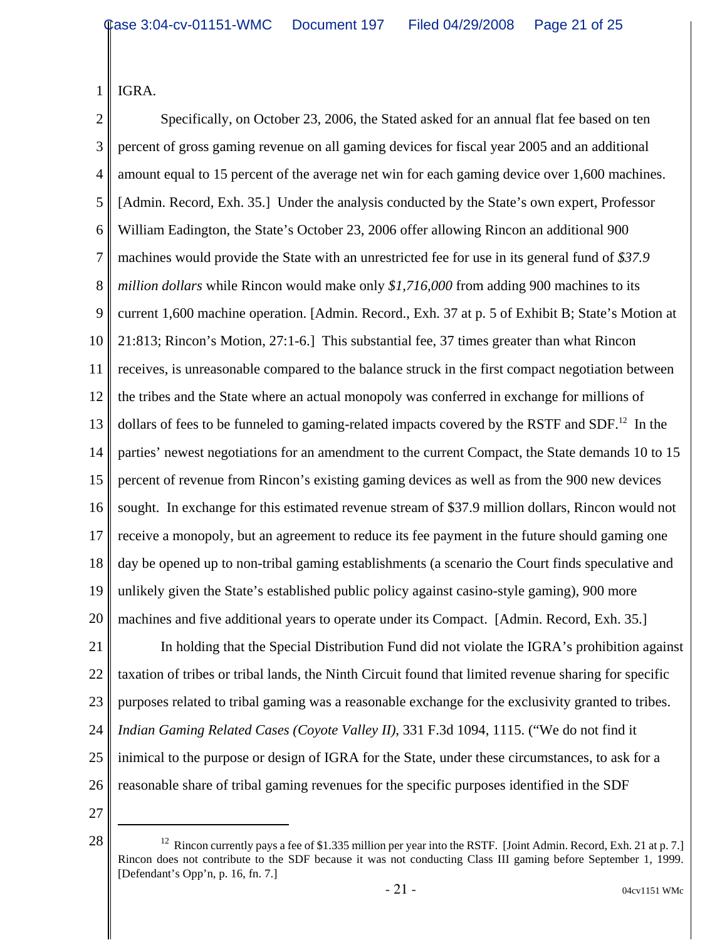IGRA.

1

2 3 4 5 6 7 8 9 10 11 12 13 14 15 16 17 18 19 20 21 22 23 24 Specifically, on October 23, 2006, the Stated asked for an annual flat fee based on ten percent of gross gaming revenue on all gaming devices for fiscal year 2005 and an additional amount equal to 15 percent of the average net win for each gaming device over 1,600 machines. [Admin. Record, Exh. 35.] Under the analysis conducted by the State's own expert, Professor William Eadington, the State's October 23, 2006 offer allowing Rincon an additional 900 machines would provide the State with an unrestricted fee for use in its general fund of *\$37.9 million dollars* while Rincon would make only *\$1,716,000* from adding 900 machines to its current 1,600 machine operation. [Admin. Record., Exh. 37 at p. 5 of Exhibit B; State's Motion at 21:813; Rincon's Motion, 27:1-6.] This substantial fee, 37 times greater than what Rincon receives, is unreasonable compared to the balance struck in the first compact negotiation between the tribes and the State where an actual monopoly was conferred in exchange for millions of dollars of fees to be funneled to gaming-related impacts covered by the RSTF and SDF.<sup>12</sup> In the parties' newest negotiations for an amendment to the current Compact, the State demands 10 to 15 percent of revenue from Rincon's existing gaming devices as well as from the 900 new devices sought. In exchange for this estimated revenue stream of \$37.9 million dollars, Rincon would not receive a monopoly, but an agreement to reduce its fee payment in the future should gaming one day be opened up to non-tribal gaming establishments (a scenario the Court finds speculative and unlikely given the State's established public policy against casino-style gaming), 900 more machines and five additional years to operate under its Compact. [Admin. Record, Exh. 35.] In holding that the Special Distribution Fund did not violate the IGRA's prohibition against taxation of tribes or tribal lands, the Ninth Circuit found that limited revenue sharing for specific purposes related to tribal gaming was a reasonable exchange for the exclusivity granted to tribes. *Indian Gaming Related Cases (Coyote Valley II)*, 331 F.3d 1094, 1115. ("We do not find it

25 inimical to the purpose or design of IGRA for the State, under these circumstances, to ask for a

- 26 reasonable share of tribal gaming revenues for the specific purposes identified in the SDF
- 27

<sup>28</sup>  $\parallel$  <sup>12</sup> Rincon currently pays a fee of \$1.335 million per year into the RSTF. [Joint Admin. Record, Exh. 21 at p. 7.] Rincon does not contribute to the SDF because it was not conducting Class III gaming before September 1, 1999. [Defendant's Opp'n, p. 16, fn. 7.]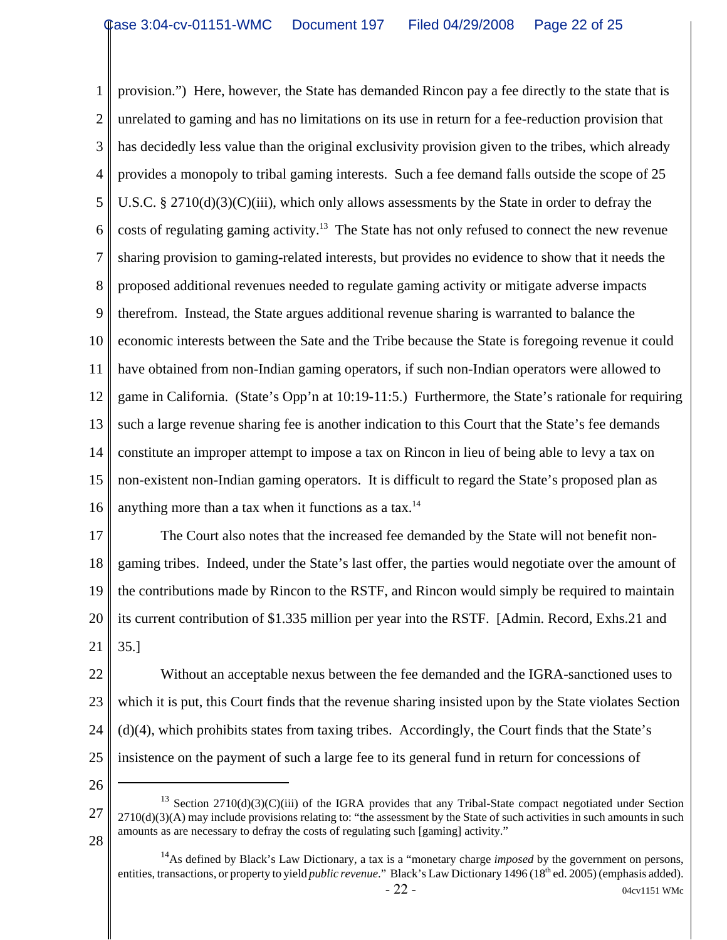1 2 3 4 5 6 7 8 9 10 11 12 13 14 15 16 provision.") Here, however, the State has demanded Rincon pay a fee directly to the state that is unrelated to gaming and has no limitations on its use in return for a fee-reduction provision that has decidedly less value than the original exclusivity provision given to the tribes, which already provides a monopoly to tribal gaming interests. Such a fee demand falls outside the scope of 25 U.S.C. § 2710(d)(3)(C)(iii), which only allows assessments by the State in order to defray the costs of regulating gaming activity.<sup>13</sup> The State has not only refused to connect the new revenue sharing provision to gaming-related interests, but provides no evidence to show that it needs the proposed additional revenues needed to regulate gaming activity or mitigate adverse impacts therefrom. Instead, the State argues additional revenue sharing is warranted to balance the economic interests between the Sate and the Tribe because the State is foregoing revenue it could have obtained from non-Indian gaming operators, if such non-Indian operators were allowed to game in California. (State's Opp'n at 10:19-11:5.) Furthermore, the State's rationale for requiring such a large revenue sharing fee is another indication to this Court that the State's fee demands constitute an improper attempt to impose a tax on Rincon in lieu of being able to levy a tax on non-existent non-Indian gaming operators. It is difficult to regard the State's proposed plan as anything more than a tax when it functions as a tax. $14$ 

17 18 19 20 21 The Court also notes that the increased fee demanded by the State will not benefit nongaming tribes. Indeed, under the State's last offer, the parties would negotiate over the amount of the contributions made by Rincon to the RSTF, and Rincon would simply be required to maintain its current contribution of \$1.335 million per year into the RSTF. [Admin. Record, Exhs.21 and 35.]

22 23 24 25 Without an acceptable nexus between the fee demanded and the IGRA-sanctioned uses to which it is put, this Court finds that the revenue sharing insisted upon by the State violates Section (d)(4), which prohibits states from taxing tribes. Accordingly, the Court finds that the State's insistence on the payment of such a large fee to its general fund in return for concessions of

<sup>27</sup> 28  $13$  Section 2710(d)(3)(C)(iii) of the IGRA provides that any Tribal-State compact negotiated under Section  $2710(d)(3)(A)$  may include provisions relating to: "the assessment by the State of such activities in such amounts in such amounts as are necessary to defray the costs of regulating such [gaming] activity."

<sup>&</sup>lt;sup>14</sup>As defined by Black's Law Dictionary, a tax is a "monetary charge *imposed* by the government on persons, entities, transactions, or property to yield *public revenue*." Black's Law Dictionary 1496 (18<sup>th</sup> ed. 2005) (emphasis added).  $-22 - 04 \text{cv} 1151 \text{ WMC}$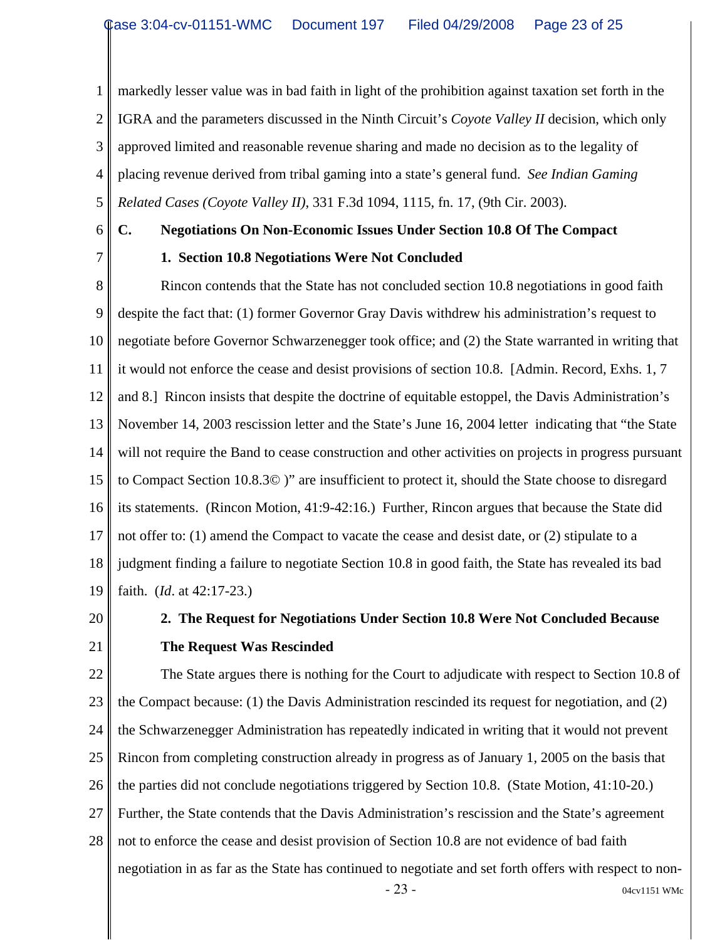1 2 3 4 5 markedly lesser value was in bad faith in light of the prohibition against taxation set forth in the IGRA and the parameters discussed in the Ninth Circuit's *Coyote Valley II* decision, which only approved limited and reasonable revenue sharing and made no decision as to the legality of placing revenue derived from tribal gaming into a state's general fund. *See Indian Gaming Related Cases (Coyote Valley II)*, 331 F.3d 1094, 1115, fn. 17, (9th Cir. 2003).

6

7

#### **C. Negotiations On Non-Economic Issues Under Section 10.8 Of The Compact**

#### **1. Section 10.8 Negotiations Were Not Concluded**

8 9 10 11 12 13 14 15 16 17 18 19 Rincon contends that the State has not concluded section 10.8 negotiations in good faith despite the fact that: (1) former Governor Gray Davis withdrew his administration's request to negotiate before Governor Schwarzenegger took office; and (2) the State warranted in writing that it would not enforce the cease and desist provisions of section 10.8. [Admin. Record, Exhs. 1, 7 and 8.] Rincon insists that despite the doctrine of equitable estoppel, the Davis Administration's November 14, 2003 rescission letter and the State's June 16, 2004 letter indicating that "the State will not require the Band to cease construction and other activities on projects in progress pursuant to Compact Section 10.8.3© )" are insufficient to protect it, should the State choose to disregard its statements. (Rincon Motion, 41:9-42:16.) Further, Rincon argues that because the State did not offer to: (1) amend the Compact to vacate the cease and desist date, or (2) stipulate to a judgment finding a failure to negotiate Section 10.8 in good faith, the State has revealed its bad faith. (*Id*. at 42:17-23.)

20

#### 21

### **2. The Request for Negotiations Under Section 10.8 Were Not Concluded Because The Request Was Rescinded**

22 23 24 25 26 27 28 The State argues there is nothing for the Court to adjudicate with respect to Section 10.8 of the Compact because: (1) the Davis Administration rescinded its request for negotiation, and (2) the Schwarzenegger Administration has repeatedly indicated in writing that it would not prevent Rincon from completing construction already in progress as of January 1, 2005 on the basis that the parties did not conclude negotiations triggered by Section 10.8. (State Motion, 41:10-20.) Further, the State contends that the Davis Administration's rescission and the State's agreement not to enforce the cease and desist provision of Section 10.8 are not evidence of bad faith negotiation in as far as the State has continued to negotiate and set forth offers with respect to non-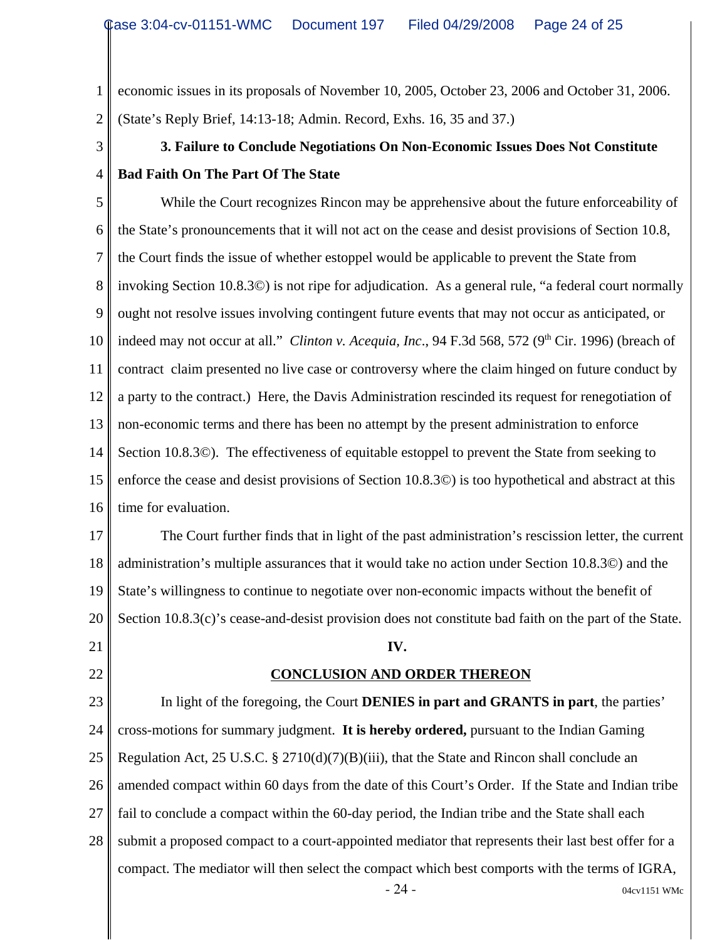1 2 economic issues in its proposals of November 10, 2005, October 23, 2006 and October 31, 2006. (State's Reply Brief, 14:13-18; Admin. Record, Exhs. 16, 35 and 37.)

## **3. Failure to Conclude Negotiations On Non-Economic Issues Does Not Constitute Bad Faith On The Part Of The State**

5 6 7 8 9 10 11 12 13 14 15 16 While the Court recognizes Rincon may be apprehensive about the future enforceability of the State's pronouncements that it will not act on the cease and desist provisions of Section 10.8, the Court finds the issue of whether estoppel would be applicable to prevent the State from invoking Section 10.8.3©) is not ripe for adjudication. As a general rule, "a federal court normally ought not resolve issues involving contingent future events that may not occur as anticipated, or indeed may not occur at all." *Clinton v. Acequia, Inc.*, 94 F.3d 568, 572 (9<sup>th</sup> Cir. 1996) (breach of contract claim presented no live case or controversy where the claim hinged on future conduct by a party to the contract.) Here, the Davis Administration rescinded its request for renegotiation of non-economic terms and there has been no attempt by the present administration to enforce Section 10.8.3©). The effectiveness of equitable estoppel to prevent the State from seeking to enforce the cease and desist provisions of Section 10.8.3©) is too hypothetical and abstract at this time for evaluation.

17 18 19 20 The Court further finds that in light of the past administration's rescission letter, the current administration's multiple assurances that it would take no action under Section 10.8.3©) and the State's willingness to continue to negotiate over non-economic impacts without the benefit of Section 10.8.3(c)'s cease-and-desist provision does not constitute bad faith on the part of the State.

21

3

4

22

#### **CONCLUSION AND ORDER THEREON**

**IV.** 

23 24 25 26 27 28 In light of the foregoing, the Court **DENIES in part and GRANTS in part**, the parties' cross-motions for summary judgment. **It is hereby ordered,** pursuant to the Indian Gaming Regulation Act, 25 U.S.C. § 2710(d)(7)(B)(iii), that the State and Rincon shall conclude an amended compact within 60 days from the date of this Court's Order. If the State and Indian tribe fail to conclude a compact within the 60-day period, the Indian tribe and the State shall each submit a proposed compact to a court-appointed mediator that represents their last best offer for a compact. The mediator will then select the compact which best comports with the terms of IGRA,

 $-24$  - 04cv1151 WMc